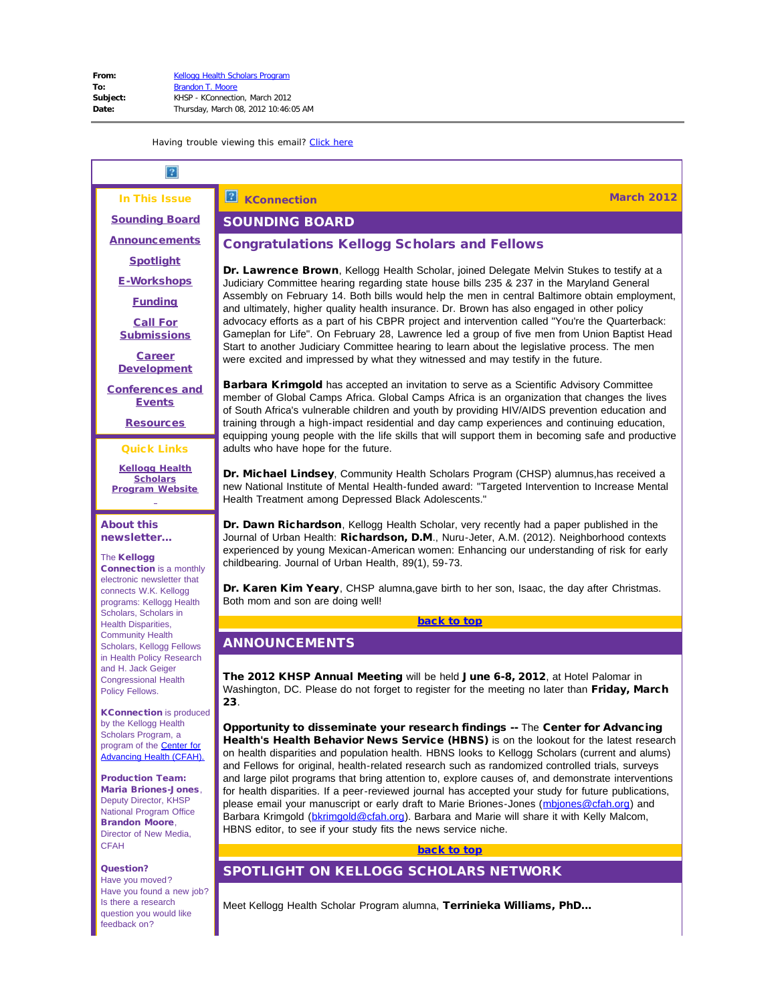In This Issue

<span id="page-0-3"></span><span id="page-0-0"></span>[Sounding Board](#page-0-0) **[Announcements](#page-0-1)** 

**[Spotlight](#page-0-2)** 

[E-Workshops](#page-1-0)

**[Funding](#page-1-1)** 

[Call For](#page-2-0) **[Submissions](#page-2-0)** 

[Career](#page-5-0) **[Development](#page-5-0)** 

<span id="page-0-4"></span>[Conferences and](#page-10-0) **[Events](#page-10-0)** 

**[Resources](#page-13-0)** 

Quick Links

**[Kellogg Health](http://r20.rs6.net/tn.jsp?et=1109480927004&s=1&e=0012OgI-WeFo4twqYDOw5Ec2gyPjWB_D-NE5KwKTjr-G_jscU09eVxkVQCJfS5CI_6pvXGSZZUgngyJmS7EDQLlS6i62zzXIqGq35ezwqkw17RJKtoaimUwWCBGYs_1HJtT) [Scholars](http://r20.rs6.net/tn.jsp?et=1109480927004&s=1&e=0012OgI-WeFo4twqYDOw5Ec2gyPjWB_D-NE5KwKTjr-G_jscU09eVxkVQCJfS5CI_6pvXGSZZUgngyJmS7EDQLlS6i62zzXIqGq35ezwqkw17RJKtoaimUwWCBGYs_1HJtT) [Program](http://r20.rs6.net/tn.jsp?et=1109480927004&s=1&e=0012OgI-WeFo4twqYDOw5Ec2gyPjWB_D-NE5KwKTjr-G_jscU09eVxkVQCJfS5CI_6pvXGSZZUgngyJmS7EDQLlS6i62zzXIqGq35ezwqkw17RJKtoaimUwWCBGYs_1HJtT) Website**

About this newsletter...

The Kellogg Connection is a monthly electronic newsletter that connects W.K. Kellogg programs: Kellogg Health Scholars, Scholars in Health Disparities, Community Health Scholars, Kellogg Fellows in Health Policy Research and H. Jack Geiger Congressional Health Policy Fellows.

<span id="page-0-1"></span>KConnection is produced by the Kellogg Health Scholars Program, a program of the [Center for](http://r20.rs6.net/tn.jsp?et=1109480927004&s=1&e=0012OgI-WeFo4tPhPlDX90JauSW8cO9XhGDaBM2EnaxkU8lX40xUVBXrm0u78h0XlMMILc8bbJoP1Pnf7XuOZG4Hos5E9b-1gKDHLXAFH643gY=) [Advancing Health \(CFAH\).](http://r20.rs6.net/tn.jsp?et=1109480927004&s=1&e=0012OgI-WeFo4tPhPlDX90JauSW8cO9XhGDaBM2EnaxkU8lX40xUVBXrm0u78h0XlMMILc8bbJoP1Pnf7XuOZG4Hos5E9b-1gKDHLXAFH643gY=)

Production Team: Maria Briones-Jones, Deputy Director, KHSP National Program Office Brandon Moore, Director of New Media, **CFAH** 

<span id="page-0-2"></span>Question? Have you moved? Have you found a new job? Is there a research question you would like feedback on?

#### $\overline{2}$ **KConnection March 2012**

# SOUNDING BOARD

# Congratulations Kellogg Scholars and Fellows

Dr. Lawrence Brown, Kellogg Health Scholar, joined Delegate Melvin Stukes to testify at a Judiciary Committee hearing regarding state house bills 235 & 237 in the Maryland General Assembly on February 14. Both bills would help the men in central Baltimore obtain employment, and ultimately, higher quality health insurance. Dr. Brown has also engaged in other policy advocacy efforts as a part of his CBPR project and intervention called "You're the Quarterback: Gameplan for Life". On February 28, Lawrence led a group of five men from Union Baptist Head Start to another Judiciary Committee hearing to learn about the legislative process. The men were excited and impressed by what they witnessed and may testify in the future.

**Barbara Krimgold** has accepted an invitation to serve as a Scientific Advisory Committee member of Global Camps Africa. Global Camps Africa is an organization that changes the lives of South Africa's vulnerable children and youth by providing HIV/AIDS prevention education and training through a high-impact residential and day camp experiences and continuing education, equipping young people with the life skills that will support them in becoming safe and productive adults who have hope for the future.

Dr. Michael Lindsey, Community Health Scholars Program (CHSP) alumnus,has received a new National Institute of Mental Health-funded award: "Targeted Intervention to Increase Mental Health Treatment among Depressed Black Adolescents."

Dr. Dawn Richardson, Kellogg Health Scholar, very recently had a paper published in the Journal of Urban Health: Richardson, D.M., Nuru-Jeter, A.M. (2012). Neighborhood contexts experienced by young Mexican-American women: Enhancing our understanding of risk for early childbearing. Journal of Urban Health, 89(1), 59-73.

Dr. Karen Kim Yeary, CHSP alumna, gave birth to her son, Isaac, the day after Christmas. Both mom and son are doing well!

#### [back to top](#page-0-3)

# ANNOUNCEMENTS

The 2012 KHSP Annual Meeting will be held June 6-8, 2012, at Hotel Palomar in Washington, DC. Please do not forget to register for the meeting no later than Friday, March 23.

Opportunity to disseminate your research findings -- The Center for Advancing Health's Health Behavior News Service (HBNS) is on the lookout for the latest research on health disparities and population health. HBNS looks to Kellogg Scholars (current and alums) and Fellows for original, health-related research such as randomized controlled trials, surveys and large pilot programs that bring attention to, explore causes of, and demonstrate interventions for health disparities. If a peer-reviewed journal has accepted your study for future publications, please email your manuscript or early draft to Marie Briones-Jones [\(mbjones@cfah.org](mailto:mbjones@cfah.org)) and Barbara Krimgold ([bkrimgold@cfah.org](mailto:bkrimgold@cfah.org)). Barbara and Marie will share it with Kelly Malcom, HBNS editor, to see if your study fits the news service niche.

## [back to top](#page-0-3)

# SPOTLIGHT ON KELLOGG SCHOLARS NETWORK

Meet Kellogg Health Scholar Program alumna, Terrinieka Williams, PhD...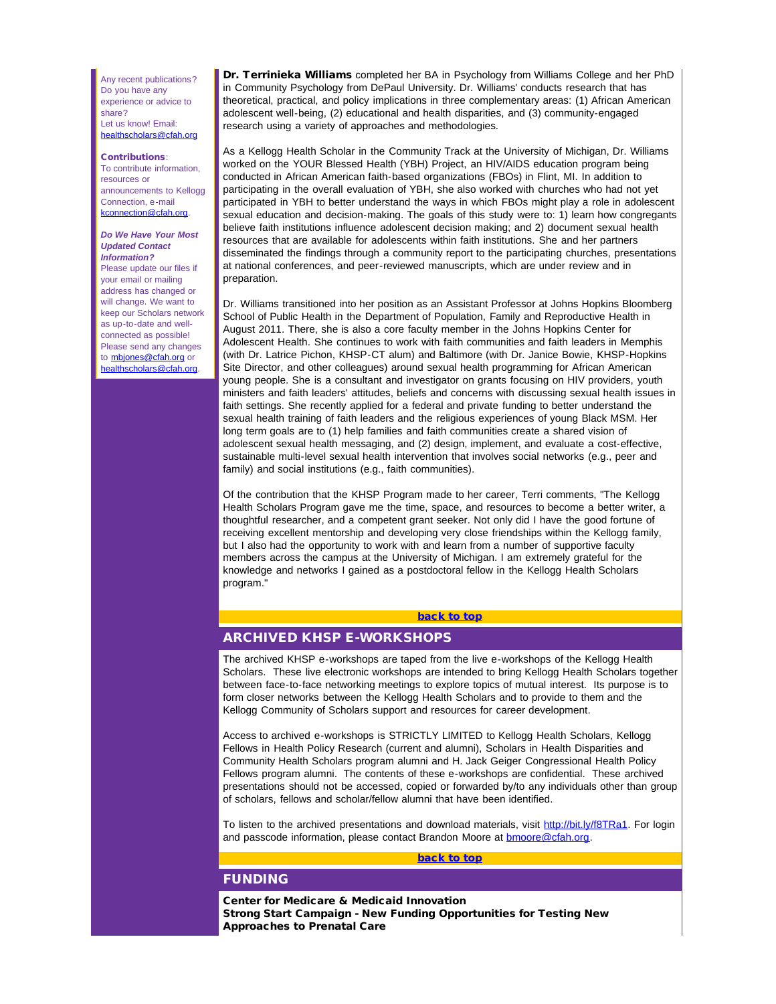Any recent publications? Do you have any experience or advice to share? Let us know! Email: [healthscholars@cfah.org](mailto:healthscholars@cfah.org)

#### Contributions:

To contribute information, resources or announcements to Kellogg Connection, e-mail [kconnection@cfah.org.](mailto:kconnection@cfah.org)

#### *Do We Have Your Most Updated Contact Information?*

<span id="page-1-0"></span>Please update our files if your email or mailing address has changed or will change. We want to keep our Scholars network as up-to-date and wellconnected as possible! Please send any changes to **[mbjones@cfah.org](mailto:mbjones@cfah.org)** or [healthscholars@cfah.org.](mailto:healthscholars@cfah.org)

Dr. Terrinieka Williams completed her BA in Psychology from Williams College and her PhD in Community Psychology from DePaul University. Dr. Williams' conducts research that has theoretical, practical, and policy implications in three complementary areas: (1) African American adolescent well-being, (2) educational and health disparities, and (3) community-engaged research using a variety of approaches and methodologies.

As a Kellogg Health Scholar in the Community Track at the University of Michigan, Dr. Williams worked on the YOUR Blessed Health (YBH) Project, an HIV/AIDS education program being conducted in African American faith-based organizations (FBOs) in Flint, MI. In addition to participating in the overall evaluation of YBH, she also worked with churches who had not yet participated in YBH to better understand the ways in which FBOs might play a role in adolescent sexual education and decision-making. The goals of this study were to: 1) learn how congregants believe faith institutions influence adolescent decision making; and 2) document sexual health resources that are available for adolescents within faith institutions. She and her partners disseminated the findings through a community report to the participating churches, presentations at national conferences, and peer-reviewed manuscripts, which are under review and in preparation.

Dr. Williams transitioned into her position as an Assistant Professor at Johns Hopkins Bloomberg School of Public Health in the Department of Population, Family and Reproductive Health in August 2011. There, she is also a core faculty member in the Johns Hopkins Center for Adolescent Health. She continues to work with faith communities and faith leaders in Memphis (with Dr. Latrice Pichon, KHSP-CT alum) and Baltimore (with Dr. Janice Bowie, KHSP-Hopkins Site Director, and other colleagues) around sexual health programming for African American young people. She is a consultant and investigator on grants focusing on HIV providers, youth ministers and faith leaders' attitudes, beliefs and concerns with discussing sexual health issues in faith settings. She recently applied for a federal and private funding to better understand the sexual health training of faith leaders and the religious experiences of young Black MSM. Her long term goals are to (1) help families and faith communities create a shared vision of adolescent sexual health messaging, and (2) design, implement, and evaluate a cost-effective, sustainable multi-level sexual health intervention that involves social networks (e.g., peer and family) and social institutions (e.g., faith communities).

Of the contribution that the KHSP Program made to her career, Terri comments, "The Kellogg Health Scholars Program gave me the time, space, and resources to become a better writer, a thoughtful researcher, and a competent grant seeker. Not only did I have the good fortune of receiving excellent mentorship and developing very close friendships within the Kellogg family, but I also had the opportunity to work with and learn from a number of supportive faculty members across the campus at the University of Michigan. I am extremely grateful for the knowledge and networks I gained as a postdoctoral fellow in the Kellogg Health Scholars program."

## [back to top](#page-0-4)

## ARCHIVED KHSP E-WORKSHOPS

<span id="page-1-1"></span>The archived KHSP e-workshops are taped from the live e-workshops of the Kellogg Health Scholars. These live electronic workshops are intended to bring Kellogg Health Scholars together between face-to-face networking meetings to explore topics of mutual interest. Its purpose is to form closer networks between the Kellogg Health Scholars and to provide to them and the Kellogg Community of Scholars support and resources for career development.

Access to archived e-workshops is STRICTLY LIMITED to Kellogg Health Scholars, Kellogg Fellows in Health Policy Research (current and alumni), Scholars in Health Disparities and Community Health Scholars program alumni and H. Jack Geiger Congressional Health Policy Fellows program alumni. The contents of these e-workshops are confidential. These archived presentations should not be accessed, copied or forwarded by/to any individuals other than group of scholars, fellows and scholar/fellow alumni that have been identified.

To listen to the archived presentations and download materials, visit [http://bit.ly/f8TRa1](http://r20.rs6.net/tn.jsp?et=1109480927004&s=1&e=0012OgI-WeFo4v2WflzTYP46w0N-CdIschWrf32JygFv3x1598WHvu2L0kVFJn7UEZ0TzfarHfHwqawuh9oxJ_8PB94InzSyv-oU4IvF0R0EsCJQw_2bm3tXUYhuWTLC24Qs58Rkxk5Gjw=). For login and passcode information, please contact Brandon Moore at **bmoore@cfah.org**.

## [back to top](#page-0-4)

## FUNDING

Center for Medicare & Medicaid Innovation Strong Start Campaign - New Funding Opportunities for Testing New Approaches to Prenatal Care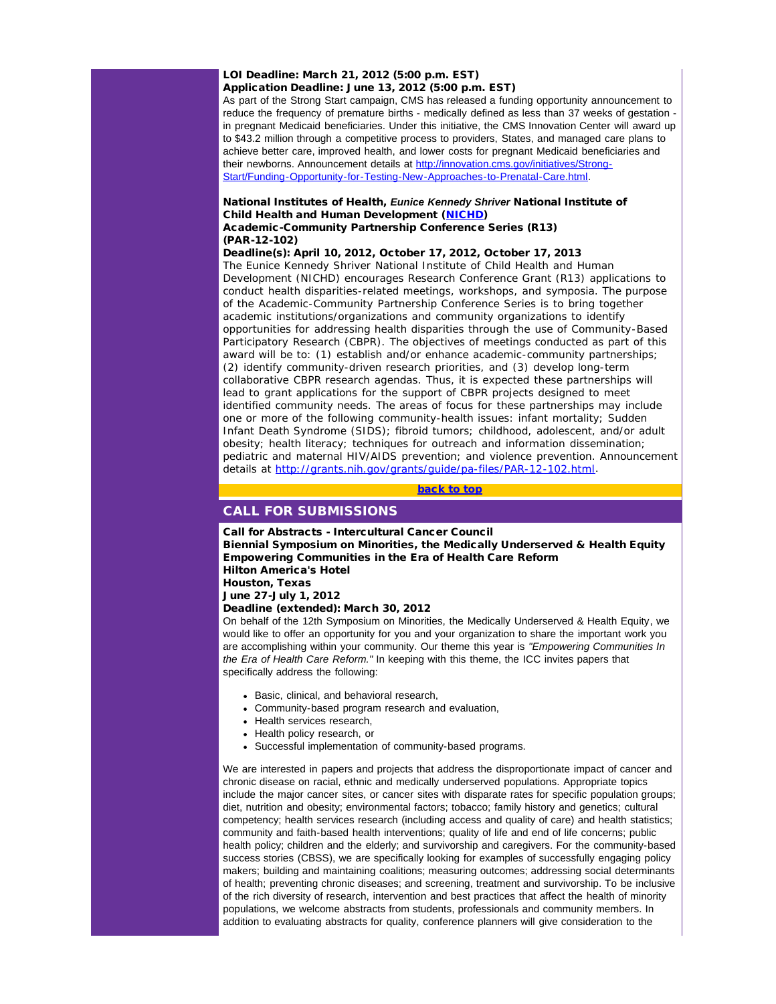## LOI Deadline: March 21, 2012 (5:00 p.m. EST) Application Deadline: June 13, 2012 (5:00 p.m. EST)

As part of the Strong Start campaign, CMS has released a funding opportunity announcement to reduce the frequency of premature births - medically defined as less than 37 weeks of gestation in pregnant Medicaid beneficiaries. Under this initiative, the CMS Innovation Center will award up to \$43.2 million through a competitive process to providers, States, and managed care plans to achieve better care, improved health, and lower costs for pregnant Medicaid beneficiaries and their newborns. Announcement details at [http://innovation.cms.gov/initiatives/Strong-](http://r20.rs6.net/tn.jsp?et=1109480927004&s=1&e=0012OgI-WeFo4t9Al9Ndf0PfMzx8NbWRDy-VoweNS_LhIHsug-n-211k1ka-nJ1nXRd7le8PBx3VWBCcp-2tCiJzv-gSeGYkEohOjYmra_Ek6CqppB8TkaEM8NWsyZrfGGS3vc5vE4PKgRMop-2QLxO1cwPKwvrgLQWrvV3f-AJ1tJGdfIjZmeh3sR9xdbjKbbS2Wa2jbNIuqsAk7BF4CkUUVXaCACUAwAx6OiaH9Eq_lgmx9SD1Aca3Q==)[Start/Funding-Opportunity-for-Testing-New-Approaches-to-Prenatal-Care.html](http://r20.rs6.net/tn.jsp?et=1109480927004&s=1&e=0012OgI-WeFo4t9Al9Ndf0PfMzx8NbWRDy-VoweNS_LhIHsug-n-211k1ka-nJ1nXRd7le8PBx3VWBCcp-2tCiJzv-gSeGYkEohOjYmra_Ek6CqppB8TkaEM8NWsyZrfGGS3vc5vE4PKgRMop-2QLxO1cwPKwvrgLQWrvV3f-AJ1tJGdfIjZmeh3sR9xdbjKbbS2Wa2jbNIuqsAk7BF4CkUUVXaCACUAwAx6OiaH9Eq_lgmx9SD1Aca3Q==).

## National Institutes of Health, *Eunice Kennedy Shriver* National Institute of Child Health and Human Development ([NICHD](http://r20.rs6.net/tn.jsp?et=1109480927004&s=1&e=0012OgI-WeFo4tjApb0HcohtN7E68sSQHUaQ9QD_G5j3YjH7ycbPufYxlV-ReAvcLs_gl_IbKfk-5aS7uj1xtyq_WCNIm94xWSlM6EluU_-oVBl8K2-vpE_kQ==)) Academic-Community Partnership Conference Series (R13) (PAR-12-102)

Deadline(s): April 10, 2012, October 17, 2012, October 17, 2013

<span id="page-2-0"></span>The *Eunice Kennedy Shriver* National Institute of Child Health and Human Development (NICHD) encourages Research Conference Grant (R13) applications to conduct health disparities-related meetings, workshops, and symposia. The purpose of the Academic-Community Partnership Conference Series is to bring together academic institutions/organizations and community organizations to identify opportunities for addressing health disparities through the use of Community-Based Participatory Research (CBPR). The objectives of meetings conducted as part of this award will be to: (1) establish and/or enhance academic-community partnerships; (2) identify community-driven research priorities, and (3) develop long-term collaborative CBPR research agendas. Thus, it is expected these partnerships will lead to grant applications for the support of CBPR projects designed to meet identified community needs. The areas of focus for these partnerships may include one or more of the following community-health issues: infant mortality; Sudden Infant Death Syndrome (SIDS); fibroid tumors; childhood, adolescent, and/or adult obesity; health literacy; techniques for outreach and information dissemination; pediatric and maternal HIV/AIDS prevention; and violence prevention. Announcement details at [http://grants.nih.gov/grants/guide/pa-files/PAR-12-102.html](http://r20.rs6.net/tn.jsp?et=1109480927004&s=1&e=0012OgI-WeFo4sJfEcwbaom2MTyQ27bingPaj0XYUCZOW_yom27msx0HILDVZBJqh-NppH1LJgmk0dEaLGch-0euIOZ4BUcNEk0bSfeSZl7wW1EzSbgXFW6W7vrX4xQPztwJWhu_bzHKSQF_5ejNKHhOVLMJedk1Ppa8vFkZEicwAY=).

## [back to top](#page-0-4)

## CALL FOR SUBMISSIONS

Call for Abstracts - Intercultural Cancer Council Biennial Symposium on Minorities, the Medically Underserved & Health Equity Empowering Communities in the Era of Health Care Reform Hilton America's Hotel Houston, Texas

June 27-July 1, 2012

Deadline (extended): March 30, 2012

On behalf of the 12th Symposium on Minorities, the Medically Underserved & Health Equity, we would like to offer an opportunity for you and your organization to share the important work you are accomplishing within your community. Our theme this year is *"Empowering Communities In the Era of Health Care Reform."* In keeping with this theme, the ICC invites papers that specifically address the following:

- Basic, clinical, and behavioral research,
- Community-based program research and evaluation,
- Health services research,
- Health policy research, or
- Successful implementation of community-based programs.

We are interested in papers and projects that address the disproportionate impact of cancer and chronic disease on racial, ethnic and medically underserved populations. Appropriate topics include the major cancer sites, or cancer sites with disparate rates for specific population groups; diet, nutrition and obesity; environmental factors; tobacco; family history and genetics; cultural competency; health services research (including access and quality of care) and health statistics; community and faith-based health interventions; quality of life and end of life concerns; public health policy; children and the elderly; and survivorship and caregivers. For the community-based success stories (CBSS), we are specifically looking for examples of successfully engaging policy makers; building and maintaining coalitions; measuring outcomes; addressing social determinants of health; preventing chronic diseases; and screening, treatment and survivorship. To be inclusive of the rich diversity of research, intervention and best practices that affect the health of minority populations, we welcome abstracts from students, professionals and community members. In addition to evaluating abstracts for quality, conference planners will give consideration to the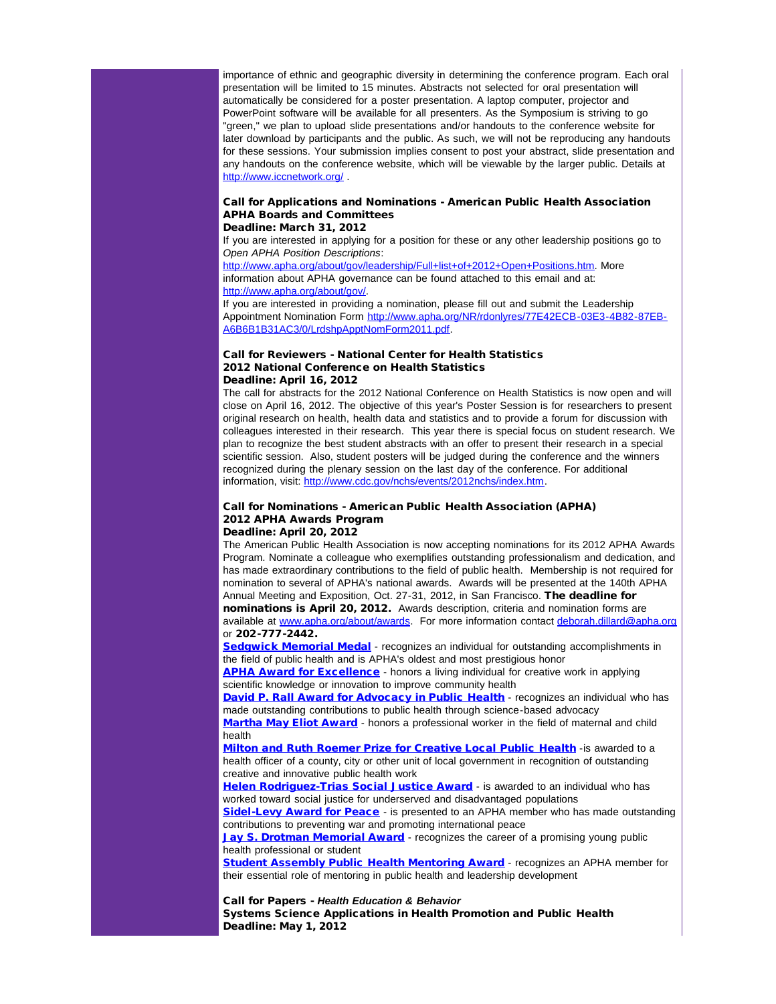importance of ethnic and geographic diversity in determining the conference program. Each oral presentation will be limited to 15 minutes. Abstracts not selected for oral presentation will automatically be considered for a poster presentation. A laptop computer, projector and PowerPoint software will be available for all presenters. As the Symposium is striving to go "green," we plan to upload slide presentations and/or handouts to the conference website for later download by participants and the public. As such, we will not be reproducing any handouts for these sessions. Your submission implies consent to post your abstract, slide presentation and any handouts on the conference website, which will be viewable by the larger public. Details at [http://www.iccnetwork.org/](http://r20.rs6.net/tn.jsp?et=1109480927004&s=1&e=0012OgI-WeFo4vcoMQ5qR2USUFIGbdzdfJ3vj3vnM03oMn1Yn8SbwCqAEPqM-QPqo-FSJBrP560lARpgh7Ogjh8ld0gsb2vDowCQey13XrKzM8uqTwObr2Q_Q==) .

# Call for Applications and Nominations - American Public Health Association APHA Boards and Committees

### Deadline: March 31, 2012

If you are interested in applying for a position for these or any other leadership positions go to *Open APHA Position Descriptions*:

[http://www.apha.org/about/gov/leadership/Full+list+of+2012+Open+Positions.htm](http://r20.rs6.net/tn.jsp?et=1109480927004&s=1&e=0012OgI-WeFo4sZdU5YyjJx73GgBfTVV0iFVhd_zOQgXO3CXXRrcZDSOqGZd6OJ72y3knRGhK2ZNamdtOd17rw842XlDXdPC8AIqxLq92NNROGyU3LtzhQynLV6dFYEqVTf-YHa1g5o8uGqM3kfY-SEfwl7KiiyfqRfNQ_urZVZfo5X_EjCrv9JgFqRXRFXxOC1QmNKKXmlR4Y=). More information about APHA governance can be found attached to this email and at: [http://www.apha.org/about/gov/.](http://r20.rs6.net/tn.jsp?et=1109480927004&s=1&e=0012OgI-WeFo4uGbUofa6_wpzesAQEOASMqarWTwl3TZ9uPzoOcL1nx2veQ9nY-s7FbbQLcb2m3CvoQDHBV6DEOvU6VsrGwcluyGQ_4K_pYfGBNMWE5_ejS8XSr5TpwvJ8W)

If you are interested in providing a nomination, please fill out and submit the Leadership Appointment Nomination Form [http://www.apha.org/NR/rdonlyres/77E42ECB-03E3-4B82-87EB-](http://r20.rs6.net/tn.jsp?et=1109480927004&s=1&e=0012OgI-WeFo4tzwVT1wAgbPx3diNmCFCC7N4PfeNCkEcSKzmhut25ETvpmdKqcEkZtoWK9I8a9iP0yk3MhCT1fKbMcGkcJ7aVIUE0hcECli-J7ckC9-bS-T5SKNpGyAjzUhZrPyXNyDnguTQFYI_IHzDSROqfibd6gCa-UnaNTTXvKMRboSfDqEWlCWgNc8nCO8kAm6iSyAXbSaCbH5NiNx2TiK74jSj92)[A6B6B1B31AC3/0/LrdshpApptNomForm2011.pdf](http://r20.rs6.net/tn.jsp?et=1109480927004&s=1&e=0012OgI-WeFo4tzwVT1wAgbPx3diNmCFCC7N4PfeNCkEcSKzmhut25ETvpmdKqcEkZtoWK9I8a9iP0yk3MhCT1fKbMcGkcJ7aVIUE0hcECli-J7ckC9-bS-T5SKNpGyAjzUhZrPyXNyDnguTQFYI_IHzDSROqfibd6gCa-UnaNTTXvKMRboSfDqEWlCWgNc8nCO8kAm6iSyAXbSaCbH5NiNx2TiK74jSj92).

### Call for Reviewers - National Center for Health Statistics 2012 National Conference on Health Statistics Deadline: April 16, 2012

The call for abstracts for the 2012 National Conference on Health Statistics is now open and will close on April 16, 2012. The objective of this year's Poster Session is for researchers to present original research on health, health data and statistics and to provide a forum for discussion with colleagues interested in their research. This year there is special focus on student research. We plan to recognize the best student abstracts with an offer to present their research in a special scientific session. Also, student posters will be judged during the conference and the winners recognized during the plenary session on the last day of the conference. For additional information, visit: [http://www.cdc.gov/nchs/events/2012nchs/index.htm.](http://r20.rs6.net/tn.jsp?et=1109480927004&s=1&e=0012OgI-WeFo4sw83gzUWRst6du6mHvcQSaj6XaC9NKv3wyr_lyS6Z2sjIVWfRh8Ep_vllfOaH8KHc16jE94vVbFvDYu9U4qvG4LKLAof51vH-Hh9qqvkhui9aZfvez_3TOZSrK6HEj6z-BzHf4IVHk9w==)

# Call for Nominations - American Public Health Association (APHA) 2012 APHA Awards Program

## Deadline: April 20, 2012

The American Public Health Association is now accepting nominations for its 2012 APHA Awards Program. Nominate a colleague who exemplifies outstanding professionalism and dedication, and has made extraordinary contributions to the field of public health. Membership is not required for nomination to several of APHA's national awards. Awards will be presented at the 140th APHA Annual Meeting and Exposition, Oct. 27-31, 2012, in San Francisco. The deadline for nominations is April 20, 2012. Awards description, criteria and nomination forms are available at [www.apha.org/about/awards](http://r20.rs6.net/tn.jsp?et=1109480927004&s=1&e=0012OgI-WeFo4skhIZt_1vbi40EelUk1cTelEBXByMulVF-m8mG5vJAgSWjbVQbDPcuZwheXdRASdjnykbNdDtQziaiSKq4qxXddFnvPvKWMrb62ceTyJ9wGnXXagBBuLuylZgKk6mYZHRLyAoA2FFxrcwXtOZDSGIC). For more information contact [deborah.dillard@apha.org](mailto:deborah.dillard@apha.org) or 202-777-2442.

**[Sedgwick Memorial Medal](http://r20.rs6.net/tn.jsp?et=1109480927004&s=1&e=0012OgI-WeFo4ua1e9Sthcg3rnvBKZQXZLUAPXwHC5XnZ4MI5srtwtotTecZOKP0-AFZuu6p9sqBlEAkwp7KhTSA_CA93aRm_Oe6B4h0HKNJmB4lgBX0vgzhj8SZ6R4XJmoM3TSJIYi1UGw-ajciqBcXT0ovJB2BZPD)** - recognizes an individual for outstanding accomplishments in the field of public health and is APHA's oldest and most prestigious honor

[APHA Award for Excellence](http://r20.rs6.net/tn.jsp?et=1109480927004&s=1&e=0012OgI-WeFo4tBDk0ooVNgeDe33G9HdBWzWbM2tXF_cEne958TCvyvxGrszuokZ7idNRkgBwyFeGjL_vgAh1obZAIZetYs3c863TsDatlFFovJVmnlP3yypFLgCyPOJCbAR4L0ifO-1QXgP2xKmDNlnVQzLUTneBT8) - honors a living individual for creative work in applying scientific knowledge or innovation to improve community health

[David P. Rall Award for Advocacy in Public Health](http://r20.rs6.net/tn.jsp?et=1109480927004&s=1&e=0012OgI-WeFo4uhwKhDonL5Yw85nDO3efa37ehATb9_JoSc95WJSel45clD3ShMy-N2Jg3tONlLvjYhI9OAQS0BVGyxO8m_e2nvYYNnYGYxg7jeUkMdkiMil4A08fm75e1qeCQZufCM4Z3oJIUYfADY_0DUVl2keqL7) - recognizes an individual who has made outstanding contributions to public health through science-based advocacy [Martha May Eliot Award](http://r20.rs6.net/tn.jsp?et=1109480927004&s=1&e=0012OgI-WeFo4swRne4gP2hqWPwPlfb9eo_Qd5XbutU0YK7_5HscupSUUCH7LCcF3PGSietRT-ekUOjybd3Dxwcwn1i4tS2b9dOiwQZO2-bZXcXw7yukT1uUgTl85wTqjtZW0otBGhf4d3c5ygaqC4Bgg8OUtwe22Ox) - honors a professional worker in the field of maternal and child health

**[Milton and Ruth Roemer Prize for Creative Local Public Health](http://r20.rs6.net/tn.jsp?et=1109480927004&s=1&e=0012OgI-WeFo4sHRuY29MO2gTFvnHKiyY-abjRYdstZdet0Hf6WBZRSD9vHDqmGn1dIEJkcte-TdcPDAmqk2KrXUqUdrIuPgznJsNSFi22-B2Os0rKxkdRS27vR8F0Cd6pAWlprFhX0ccENKy-js4kPWK3jPvhMNOWI) - is awarded to a** health officer of a county, city or other unit of local government in recognition of outstanding creative and innovative public health work

[Helen Rodriguez-Trias Social Justice Award](http://r20.rs6.net/tn.jsp?et=1109480927004&s=1&e=0012OgI-WeFo4tStxwyfcrDvKKoTwTkjZiOjmNjauTsRS3w1ipXjxyO_zZS1hfR0P5Is1ovkPj9JsMxHwol9IP0yLSJ3GQTst1cEhsB7eI6cG7VrnZIK78QJZHdlqhKHqv6MYTn1KX1PwQEY217aIyUFtuJGbiLq6O1) - is awarded to an individual who has worked toward social justice for underserved and disadvantaged populations

[Sidel-Levy Award for Peace](http://r20.rs6.net/tn.jsp?et=1109480927004&s=1&e=0012OgI-WeFo4v7aUrKiM1zyO9JuO_Eaq-aGIZR5vvXnFIoyvFOIX8Aq-sEzKPdtbBgA4xLTsoTqtAguVS6yzpwgrq9C-9GOVhVaogw7lEzAGvTkFMBdGHuLpehedPYc2_VaOoWSntjbrzPP4ZIHruilBxIp1byylYp) - is presented to an APHA member who has made outstanding contributions to preventing war and promoting international peace

**[Jay S. Drotman Memorial Award](http://r20.rs6.net/tn.jsp?et=1109480927004&s=1&e=0012OgI-WeFo4uTkCxWCEFNqx_0A7Q0F2DuH07jDqm01qsDqQCUJem2ewyNjZZG4sri1A00L2f2DccHBpQ3H3VmdNN99ePtPSXsar3sC7CFIWtpA8MRy_WgMyy6y4lTTV7zRrcLmOQRSBSlMJjtwIE3sbLOCGvxlRYd)** - recognizes the career of a promising young public health professional or student

**[Student Assembly Public Health Mentoring Award](http://r20.rs6.net/tn.jsp?et=1109480927004&s=1&e=0012OgI-WeFo4tJs_usR-gnXV557krgKGjLbc5s5v6Oz6iIryqwgaCF3zkjrMXwyxgoXX4YCkoKn9UkEUcq4a6MSp7BsASV4-bPQHUqtwsuymw1bl9IZlQK6PdMe6JttufeBHtvemEdo-N4-5uUcIiXvlrEJwmjGxIR) - recognizes an APHA member for** their essential role of mentoring in public health and leadership development

Call for Papers - *Health Education & Behavior* Systems Science Applications in Health Promotion and Public Health Deadline: May 1, 2012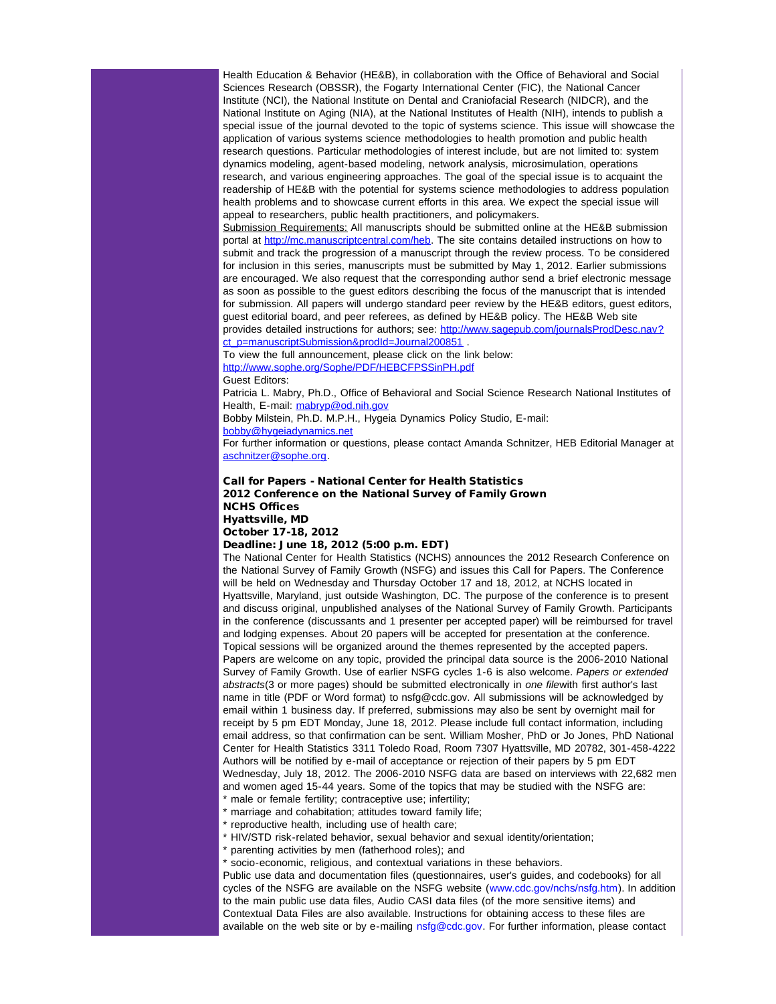Health Education & Behavior (HE&B), in collaboration with the Office of Behavioral and Social Sciences Research (OBSSR), the Fogarty International Center (FIC), the National Cancer Institute (NCI), the National Institute on Dental and Craniofacial Research (NIDCR), and the National Institute on Aging (NIA), at the National Institutes of Health (NIH), intends to publish a special issue of the journal devoted to the topic of systems science. This issue will showcase the application of various systems science methodologies to health promotion and public health research questions. Particular methodologies of interest include, but are not limited to: system dynamics modeling, agent-based modeling, network analysis, microsimulation, operations research, and various engineering approaches. The goal of the special issue is to acquaint the readership of HE&B with the potential for systems science methodologies to address population health problems and to showcase current efforts in this area. We expect the special issue will appeal to researchers, public health practitioners, and policymakers.

Submission Requirements: All manuscripts should be submitted online at the HE&B submission portal at [http://mc.manuscriptcentral.com/heb.](http://r20.rs6.net/tn.jsp?et=1109480927004&s=1&e=0012OgI-WeFo4t-Ci4NhNZRXkKtT-Lu5drU0IOq9Vn1XgkxQMUZc9IQIie4JoKg-YShHswEoHmvRYxT5zcIhOGohs-kIGByyoQrykFsUfUv2vAqiTQaLjWt7TXVFzeqh6-M) The site contains detailed instructions on how to submit and track the progression of a manuscript through the review process. To be considered for inclusion in this series, manuscripts must be submitted by May 1, 2012. Earlier submissions are encouraged. We also request that the corresponding author send a brief electronic message as soon as possible to the guest editors describing the focus of the manuscript that is intended for submission. All papers will undergo standard peer review by the HE&B editors, guest editors, guest editorial board, and peer referees, as defined by HE&B policy. The HE&B Web site provides detailed instructions for authors; see: [http://www.sagepub.com/journalsProdDesc.nav?](http://r20.rs6.net/tn.jsp?et=1109480927004&s=1&e=0012OgI-WeFo4sS6OvACJAGKAgYFIAPcoVGIgkB3Y2zzyUZ1qmKRyl1KP8OZeFb2XBoFLp6W7O3_zOROMkQyzt5plYo1GYt7SKUbBEHPlZAGtp1yb1HwUck6aFrRX4PipjmfFAh_-aUHgItXeGGTcVRcXj-4Yg1E2NMgluqE2M3ZOJ81V17umiXZMBb46RcIHv2jvesjtO6zyAF83w87O8OEA==) ct\_p=manuscriptSubmission&prodId=Journal200851

To view the full announcement, please click on the link below: [http://www.sophe.org/Sophe/PDF/HEBCFPSSinPH.pdf](http://r20.rs6.net/tn.jsp?et=1109480927004&s=1&e=0012OgI-WeFo4szSK3RxGKgqkgGRA3mj416jwmxAPgQ334-u-s2xXZ97IiWa2nlhzummj-DOUEVDY__SB2xwvBnRAPc4MnEQRvcs1AGtApKwSzUWY6hdNMxG276t3J-A1fAdY_w5MVbGlnPmyEP9NzM_w==) Guest Editors:

Patricia L. Mabry, Ph.D., Office of Behavioral and Social Science Research National Institutes of Health, E-mail: [mabryp@od.nih.gov](mailto:mabryp@od.nih.gov)

Bobby Milstein, Ph.D. M.P.H., Hygeia Dynamics Policy Studio, E-mail:

[bobby@hygeiadynamics.net](mailto:bobby@hygeiadynamics.net)

For further information or questions, please contact Amanda Schnitzer, HEB Editorial Manager at [aschnitzer@sophe.org](mailto:aschnitzer@sophe.org).

## Call for Papers - National Center for Health Statistics 2012 Conference on the National Survey of Family Grown NCHS Offices Hyattsville, MD

October 17-18, 2012

### Deadline: June 18, 2012 (5:00 p.m. EDT)

The National Center for Health Statistics (NCHS) announces the 2012 Research Conference on the National Survey of Family Growth (NSFG) and issues this Call for Papers. The Conference will be held on Wednesday and Thursday October 17 and 18, 2012, at NCHS located in Hyattsville, Maryland, just outside Washington, DC. The purpose of the conference is to present and discuss original, unpublished analyses of the National Survey of Family Growth. Participants in the conference (discussants and 1 presenter per accepted paper) will be reimbursed for travel and lodging expenses. About 20 papers will be accepted for presentation at the conference. Topical sessions will be organized around the themes represented by the accepted papers. Papers are welcome on any topic, provided the principal data source is the 2006-2010 National Survey of Family Growth. Use of earlier NSFG cycles 1-6 is also welcome. *Papers or extended abstracts*(3 or more pages) should be submitted electronically in *one file*with first author's last name in title (PDF or Word format) to nsfg@cdc.gov. All submissions will be acknowledged by email within 1 business day. If preferred, submissions may also be sent by overnight mail for receipt by 5 pm EDT Monday, June 18, 2012. Please include full contact information, including email address, so that confirmation can be sent. William Mosher, PhD or Jo Jones, PhD National Center for Health Statistics 3311 Toledo Road, Room 7307 Hyattsville, MD 20782, 301-458-4222 Authors will be notified by e-mail of acceptance or rejection of their papers by 5 pm EDT Wednesday, July 18, 2012. The 2006-2010 NSFG data are based on interviews with 22,682 men and women aged 15-44 years. Some of the topics that may be studied with the NSFG are:

\* male or female fertility; contraceptive use; infertility;

\* marriage and cohabitation; attitudes toward family life;

reproductive health, including use of health care;

\* HIV/STD risk-related behavior, sexual behavior and sexual identity/orientation;

parenting activities by men (fatherhood roles); and

socio-economic, religious, and contextual variations in these behaviors.

Public use data and documentation files (questionnaires, user's guides, and codebooks) for all cycles of the NSFG are available on the NSFG website (www.cdc.gov/nchs/nsfg.htm). In addition to the main public use data files, Audio CASI data files (of the more sensitive items) and Contextual Data Files are also available. Instructions for obtaining access to these files are available on the web site or by e-mailing nsfg@cdc.gov. For further information, please contact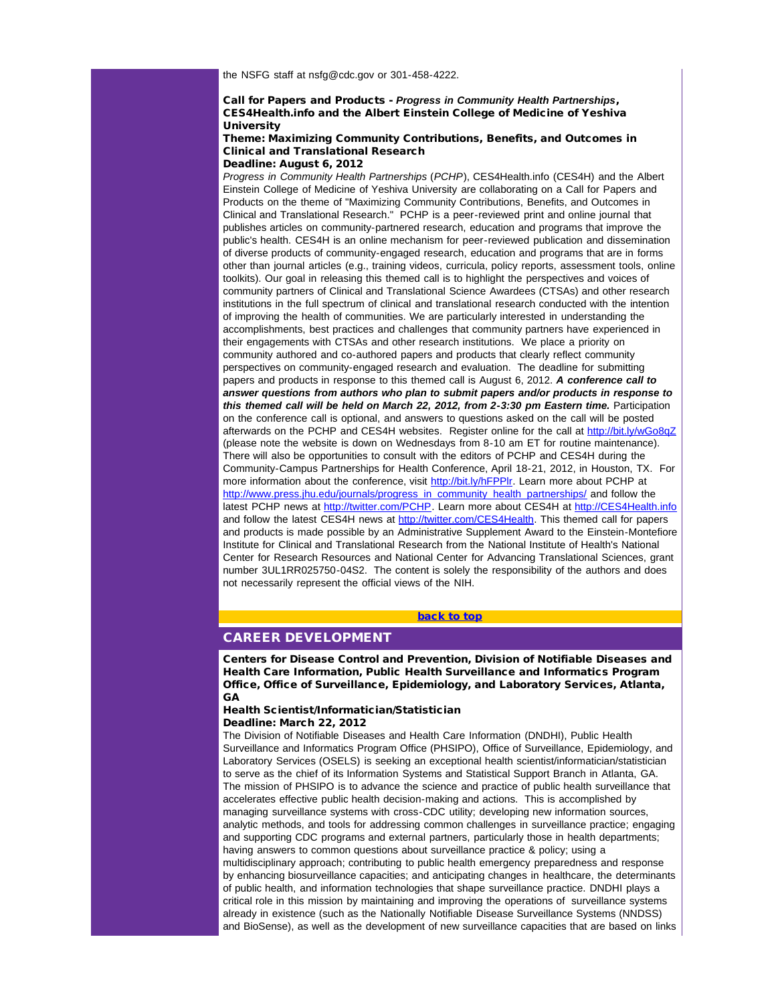the NSFG staff at nsfg@cdc.gov or 301-458-4222.

## Call for Papers and Products - *Progress in Community Health Partnerships*, CES4Health.info and the Albert Einstein College of Medicine of Yeshiva **University**

### Theme: Maximizing Community Contributions, Benefits, and Outcomes in Clinical and Translational Research Deadline: August 6, 2012

*Progress in Community Health Partnerships* (*PCHP*), CES4Health.info (CES4H) and the Albert Einstein College of Medicine of Yeshiva University are collaborating on a Call for Papers and Products on the theme of "Maximizing Community Contributions, Benefits, and Outcomes in Clinical and Translational Research." PCHP is a peer-reviewed print and online journal that publishes articles on community-partnered research, education and programs that improve the public's health. CES4H is an online mechanism for peer-reviewed publication and dissemination of diverse products of community-engaged research, education and programs that are in forms other than journal articles (e.g., training videos, curricula, policy reports, assessment tools, online toolkits). Our goal in releasing this themed call is to highlight the perspectives and voices of community partners of Clinical and Translational Science Awardees (CTSAs) and other research institutions in the full spectrum of clinical and translational research conducted with the intention of improving the health of communities. We are particularly interested in understanding the accomplishments, best practices and challenges that community partners have experienced in their engagements with CTSAs and other research institutions. We place a priority on community authored and co-authored papers and products that clearly reflect community perspectives on community-engaged research and evaluation. The deadline for submitting papers and products in response to this themed call is August 6, 2012. *A conference call to answer questions from authors who plan to submit papers and/or products in response to this themed call will be held on March 22, 2012, from 2-3:30 pm Eastern time.* Participation on the conference call is optional, and answers to questions asked on the call will be posted afterwards on the PCHP and CES4H websites. Register online for the call at [http://bit.ly/wGo8qZ](http://r20.rs6.net/tn.jsp?et=1109480927004&s=1&e=0012OgI-WeFo4unVctZzPssAigPBIkrH_cAl7GI7IFA_14Y0MQHF1lq3UOgkGLvVXovv4opPdYm9hdbp6rHgnr-Pq8Vs4qXX3-tyO3q45p3Fsw=) (please note the website is down on Wednesdays from 8-10 am ET for routine maintenance). There will also be opportunities to consult with the editors of PCHP and CES4H during the Community-Campus Partnerships for Health Conference, April 18-21, 2012, in Houston, TX. For more information about the conference, visit [http://bit.ly/hFPPlr.](http://r20.rs6.net/tn.jsp?et=1109480927004&s=1&e=0012OgI-WeFo4uDIaOvI_8zKSoP87SFkJbTJxwspIVUairBxbpIXYPbQ9LuXXU_dndl2g7x-ciFB3-ca-DTycXrDz58VJyQ1S1qb1AOGCpM1Ic=) Learn more about PCHP at [http://www.press.jhu.edu/journals/progress\\_in\\_community\\_health\\_partnerships/](http://r20.rs6.net/tn.jsp?et=1109480927004&s=1&e=0012OgI-WeFo4tJc2hcFGqEO0s2Mt1wIRz2rCEdeycREMGG_7-bcmU9scWB99uyOw1aReRbdefZSHy7-tL0ikpxB8SMHo9o-QNKysyIUw1ypwyNcIyZ5seq7Rc3-S2DRMJHz3xzbbgtjojpRhMcFMEarHBVRV6xv7PRwsWsB8RrTHGkwFSDoilbUw==) and follow the latest PCHP news at [http://twitter.com/PCHP.](http://r20.rs6.net/tn.jsp?et=1109480927004&s=1&e=0012OgI-WeFo4vJWOxZuzeFEKskD0WnvyL36ERAAMAxCLdhIrW_DjDZ0omoyYi0EX-3Wj3HZRi1kr3ql9eijYeNtT8TPeo0pw-p2UhukPHPGvw=) Learn more about CES4H at [http://CES4Health.info](http://r20.rs6.net/tn.jsp?et=1109480927004&s=1&e=0012OgI-WeFo4upwyDSS-CNhN31GQ_N1AmG-L6V4vkRgR563TyY50IfYdg5hg5IbKfG7m2OI60ghJCdrzAf-qaJo-RvsxGecUD5a8BYXiLWjKo=) and follow the latest CES4H news at [http://twitter.com/CES4Health](http://r20.rs6.net/tn.jsp?et=1109480927004&s=1&e=0012OgI-WeFo4s9baBYDpdqbCOYkfVOEy_vo-ZZ6hPvkjfiCpf7OgpPOk7wcgh5Jw0r6tGKSAvkV5MbOo7zHtXY3bfCwWPolMLBDyKY1y0FGzDAF4cidue9Qg==). This themed call for papers and products is made possible by an Administrative Supplement Award to the Einstein-Montefiore Institute for Clinical and Translational Research from the National Institute of Health's National Center for Research Resources and National Center for Advancing Translational Sciences, grant number 3UL1RR025750-04S2. The content is solely the responsibility of the authors and does not necessarily represent the official views of the NIH.

## [back to top](#page-0-4)

# <span id="page-5-0"></span>CAREER DEVELOPMENT

Centers for Disease Control and Prevention, Division of Notifiable Diseases and Health Care Information, Public Health Surveillance and Informatics Program Office, Office of Surveillance, Epidemiology, and Laboratory Services, Atlanta, GA

#### Health Scientist/Informatician/Statistician Deadline: March 22, 2012

The Division of Notifiable Diseases and Health Care Information (DNDHI), Public Health Surveillance and Informatics Program Office (PHSIPO), Office of Surveillance, Epidemiology, and Laboratory Services (OSELS) is seeking an exceptional health scientist/informatician/statistician to serve as the chief of its Information Systems and Statistical Support Branch in Atlanta, GA. The mission of PHSIPO is to advance the science and practice of public health surveillance that accelerates effective public health decision-making and actions. This is accomplished by managing surveillance systems with cross-CDC utility; developing new information sources, analytic methods, and tools for addressing common challenges in surveillance practice; engaging and supporting CDC programs and external partners, particularly those in health departments; having answers to common questions about surveillance practice & policy; using a multidisciplinary approach; contributing to public health emergency preparedness and response by enhancing biosurveillance capacities; and anticipating changes in healthcare, the determinants of public health, and information technologies that shape surveillance practice. DNDHI plays a critical role in this mission by maintaining and improving the operations of surveillance systems already in existence (such as the Nationally Notifiable Disease Surveillance Systems (NNDSS) and BioSense), as well as the development of new surveillance capacities that are based on links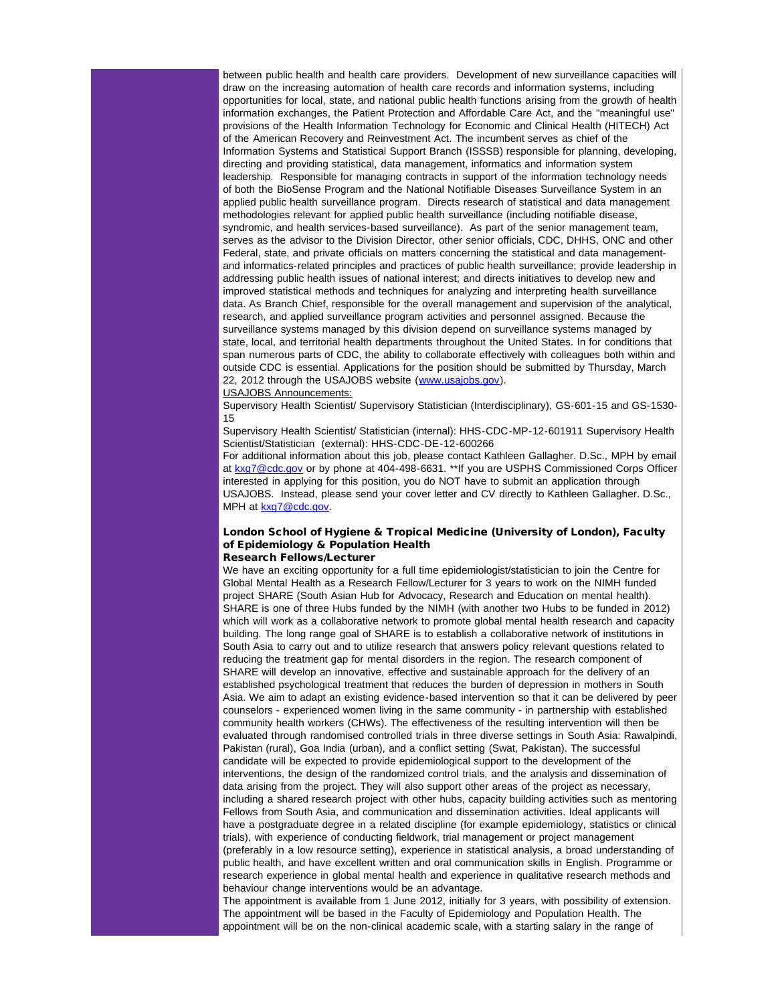between public health and health care providers. Development of new surveillance capacities will draw on the increasing automation of health care records and information systems, including opportunities for local, state, and national public health functions arising from the growth of health information exchanges, the Patient Protection and Affordable Care Act, and the "meaningful use" provisions of the Health Information Technology for Economic and Clinical Health (HITECH) Act of the American Recovery and Reinvestment Act. The incumbent serves as chief of the Information Systems and Statistical Support Branch (ISSSB) responsible for planning, developing, directing and providing statistical, data management, informatics and information system leadership. Responsible for managing contracts in support of the information technology needs of both the BioSense Program and the National Notifiable Diseases Surveillance System in an applied public health surveillance program. Directs research of statistical and data management methodologies relevant for applied public health surveillance (including notifiable disease, syndromic, and health services-based surveillance). As part of the senior management team, serves as the advisor to the Division Director, other senior officials, CDC, DHHS, ONC and other Federal, state, and private officials on matters concerning the statistical and data managementand informatics-related principles and practices of public health surveillance; provide leadership in addressing public health issues of national interest; and directs initiatives to develop new and improved statistical methods and techniques for analyzing and interpreting health surveillance data. As Branch Chief, responsible for the overall management and supervision of the analytical, research, and applied surveillance program activities and personnel assigned. Because the surveillance systems managed by this division depend on surveillance systems managed by state, local, and territorial health departments throughout the United States. In for conditions that span numerous parts of CDC, the ability to collaborate effectively with colleagues both within and outside CDC is essential. Applications for the position should be submitted by Thursday, March 22, 2012 through the USAJOBS website ([www.usajobs.gov\)](http://r20.rs6.net/tn.jsp?et=1109480927004&s=1&e=0012OgI-WeFo4u6LqvV3huBLy-j3aJtMiNW_NxxAcx12UtVJMQAf0Aep16AV1TVKWLUF7XxUlzqXE34DaR23leZoU7QZV6YUqlSLzJoDvieCbI=).

#### USAJOBS Announcements:

Supervisory Health Scientist/ Supervisory Statistician (Interdisciplinary), GS-601-15 and GS-1530- 15

Supervisory Health Scientist/ Statistician (internal): HHS-CDC-MP-12-601911 Supervisory Health Scientist/Statistician (external): HHS-CDC-DE-12-600266

For additional information about this job, please contact Kathleen Gallagher. D.Sc., MPH by email at [kxg7@cdc.gov](mailto:kxg7@cdc.gov) or by phone at 404-498-6631. \*\*If you are USPHS Commissioned Corps Officer interested in applying for this position, you do NOT have to submit an application through USAJOBS. Instead, please send your cover letter and CV directly to Kathleen Gallagher. D.Sc., MPH at [kxg7@cdc.gov.](mailto:kxg7@cdc.gov)

### London School of Hygiene & Tropical Medicine (University of London), Faculty of Epidemiology & Population Health Research Fellows/Lecturer

We have an exciting opportunity for a full time epidemiologist/statistician to join the Centre for Global Mental Health as a Research Fellow/Lecturer for 3 years to work on the NIMH funded project SHARE (South Asian Hub for Advocacy, Research and Education on mental health). SHARE is one of three Hubs funded by the NIMH (with another two Hubs to be funded in 2012) which will work as a collaborative network to promote global mental health research and capacity building. The long range goal of SHARE is to establish a collaborative network of institutions in South Asia to carry out and to utilize research that answers policy relevant questions related to reducing the treatment gap for mental disorders in the region. The research component of SHARE will develop an innovative, effective and sustainable approach for the delivery of an established psychological treatment that reduces the burden of depression in mothers in South Asia. We aim to adapt an existing evidence-based intervention so that it can be delivered by peer counselors - experienced women living in the same community - in partnership with established community health workers (CHWs). The effectiveness of the resulting intervention will then be evaluated through randomised controlled trials in three diverse settings in South Asia: Rawalpindi, Pakistan (rural), Goa India (urban), and a conflict setting (Swat, Pakistan). The successful candidate will be expected to provide epidemiological support to the development of the interventions, the design of the randomized control trials, and the analysis and dissemination of data arising from the project. They will also support other areas of the project as necessary, including a shared research project with other hubs, capacity building activities such as mentoring Fellows from South Asia, and communication and dissemination activities. Ideal applicants will have a postgraduate degree in a related discipline (for example epidemiology, statistics or clinical trials), with experience of conducting fieldwork, trial management or project management (preferably in a low resource setting), experience in statistical analysis, a broad understanding of public health, and have excellent written and oral communication skills in English. Programme or research experience in global mental health and experience in qualitative research methods and behaviour change interventions would be an advantage.

The appointment is available from 1 June 2012, initially for 3 years, with possibility of extension. The appointment will be based in the Faculty of Epidemiology and Population Health. The appointment will be on the non-clinical academic scale, with a starting salary in the range of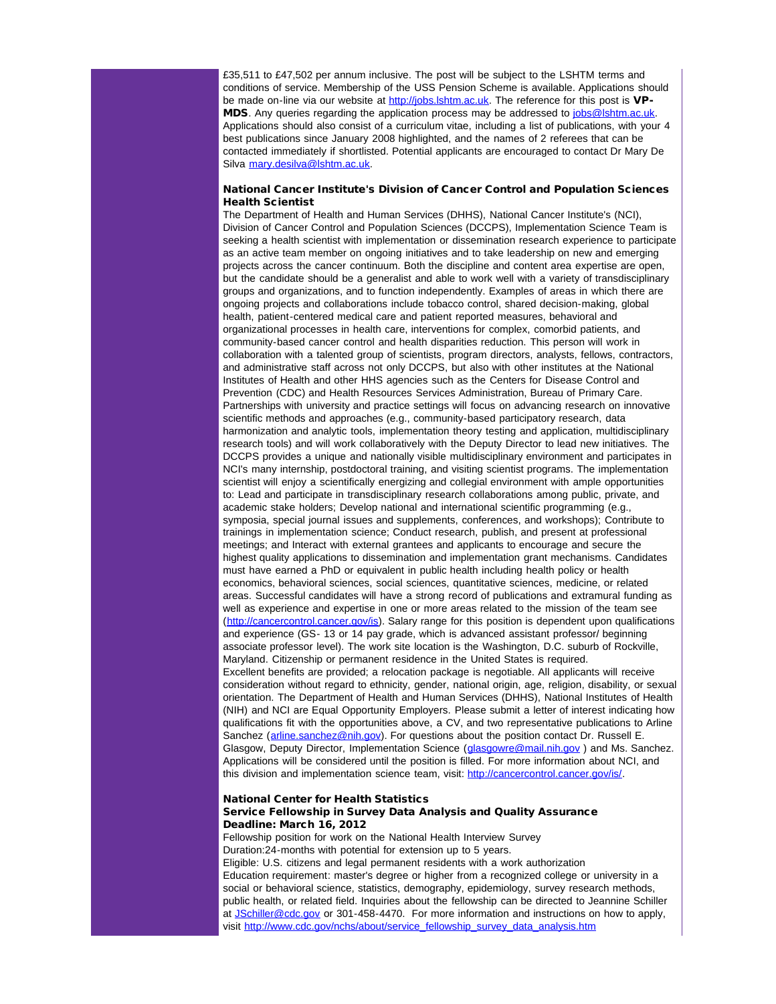£35,511 to £47,502 per annum inclusive. The post will be subject to the LSHTM terms and conditions of service. Membership of the USS Pension Scheme is available. Applications should be made on-line via our website at [http://jobs.lshtm.ac.uk.](http://r20.rs6.net/tn.jsp?et=1109480927004&s=1&e=0012OgI-WeFo4sioTam-aCHqGbXs4O924-kUMowhjOtw5v65GT0vgUnDOLNtpPjWF1M7tS3oom2D39ZHjaab7VehCxK3oDISJp3ovFouxX-V8o=) The reference for this post is VPMDS. Any queries regarding the application process may be addressed to [jobs@lshtm.ac.uk.](mailto:jobs@lshtm.ac.uk) Applications should also consist of a curriculum vitae, including a list of publications, with your 4 best publications since January 2008 highlighted, and the names of 2 referees that can be contacted immediately if shortlisted. Potential applicants are encouraged to contact Dr Mary De Silva [mary.desilva@lshtm.ac.uk.](mailto:mary.desilva@lshtm.ac.uk)

## National Cancer Institute's Division of Cancer Control and Population Sciences Health Scientist

The Department of Health and Human Services (DHHS), National Cancer Institute's (NCI), Division of Cancer Control and Population Sciences (DCCPS), Implementation Science Team is seeking a health scientist with implementation or dissemination research experience to participate as an active team member on ongoing initiatives and to take leadership on new and emerging projects across the cancer continuum. Both the discipline and content area expertise are open, but the candidate should be a generalist and able to work well with a variety of transdisciplinary groups and organizations, and to function independently. Examples of areas in which there are ongoing projects and collaborations include tobacco control, shared decision-making, global health, patient-centered medical care and patient reported measures, behavioral and organizational processes in health care, interventions for complex, comorbid patients, and community-based cancer control and health disparities reduction. This person will work in collaboration with a talented group of scientists, program directors, analysts, fellows, contractors, and administrative staff across not only DCCPS, but also with other institutes at the National Institutes of Health and other HHS agencies such as the Centers for Disease Control and Prevention (CDC) and Health Resources Services Administration, Bureau of Primary Care. Partnerships with university and practice settings will focus on advancing research on innovative scientific methods and approaches (e.g., community-based participatory research, data harmonization and analytic tools, implementation theory testing and application, multidisciplinary research tools) and will work collaboratively with the Deputy Director to lead new initiatives. The DCCPS provides a unique and nationally visible multidisciplinary environment and participates in NCI's many internship, postdoctoral training, and visiting scientist programs. The implementation scientist will enjoy a scientifically energizing and collegial environment with ample opportunities to: Lead and participate in transdisciplinary research collaborations among public, private, and academic stake holders; Develop national and international scientific programming (e.g., symposia, special journal issues and supplements, conferences, and workshops); Contribute to trainings in implementation science; Conduct research, publish, and present at professional meetings; and Interact with external grantees and applicants to encourage and secure the highest quality applications to dissemination and implementation grant mechanisms. Candidates must have earned a PhD or equivalent in public health including health policy or health economics, behavioral sciences, social sciences, quantitative sciences, medicine, or related areas. Successful candidates will have a strong record of publications and extramural funding as well as experience and expertise in one or more areas related to the mission of the team see ([http://cancercontrol.cancer.gov/is\)](http://r20.rs6.net/tn.jsp?et=1109480927004&s=1&e=0012OgI-WeFo4t8irlAkaQd-VvNJhvU_erTnWU7YkA9SReof-UzH3Y9z-cvAvAHJp5QeDgWA3zXgPTt2hKTOn8rNYCH2RGpsyUxMZINIKVsgJmap-AYBGi--Ip-kQ7dTSQn). Salary range for this position is dependent upon qualifications and experience (GS- 13 or 14 pay grade, which is advanced assistant professor/ beginning associate professor level). The work site location is the Washington, D.C. suburb of Rockville, Maryland. Citizenship or permanent residence in the United States is required. Excellent benefits are provided; a relocation package is negotiable. All applicants will receive consideration without regard to ethnicity, gender, national origin, age, religion, disability, or sexual orientation. The Department of Health and Human Services (DHHS), National Institutes of Health (NIH) and NCI are Equal Opportunity Employers. Please submit a letter of interest indicating how qualifications fit with the opportunities above, a CV, and two representative publications to Arline Sanchez ([arline.sanchez@nih.gov\)](mailto:arline.sanchez@nih.gov). For questions about the position contact Dr. Russell E. Glasgow, Deputy Director, Implementation Science (glasgowre@mail.nih.gov) and Ms. Sanchez. Applications will be considered until the position is filled. For more information about NCI, and this division and implementation science team, visit: [http://cancercontrol.cancer.gov/is/](http://r20.rs6.net/tn.jsp?et=1109480927004&s=1&e=0012OgI-WeFo4v2WflzTYP46xvh7ErwpIu1AmFWi93D-KW97l4USkUk_Ghw1WI7rc9CjztlvpJYCX_p_cJHom7W2idVQP5UCZ7nR6DfyT-sAoVGwaFqMw7Q5gbVhNFcor2-).

## National Center for Health Statistics Service Fellowship in Survey Data Analysis and Quality Assurance Deadline: March 16, 2012

Fellowship position for work on the National Health Interview Survey Duration:24-months with potential for extension up to 5 years. Eligible: U.S. citizens and legal permanent residents with a work authorization Education requirement: master's degree or higher from a recognized college or university in a social or behavioral science, statistics, demography, epidemiology, survey research methods, public health, or related field. Inquiries about the fellowship can be directed to Jeannine Schiller at [JSchiller@cdc.gov](mailto:JSchiller@cdc.gov) or 301-458-4470. For more information and instructions on how to apply, visit [http://www.cdc.gov/nchs/about/service\\_fellowship\\_survey\\_data\\_analysis.htm](http://r20.rs6.net/tn.jsp?et=1109480927004&s=1&e=0012OgI-WeFo4tvd01YLrsfTZwNb4toYCbQeBI0XavS5pmjENYRYC0TaZ2VaF6QlN_iAFgDrKPgKmM8P9zZVfVindjKZS_0mhtDaT6iZGXNUvpc-aoXzBWiBmLGkKjgP7Vf_qj5Ec_jk-8S2AN1gUrR4Yv6VtVsUHwiP81JsKg8KFcjWe75ny3HGA==)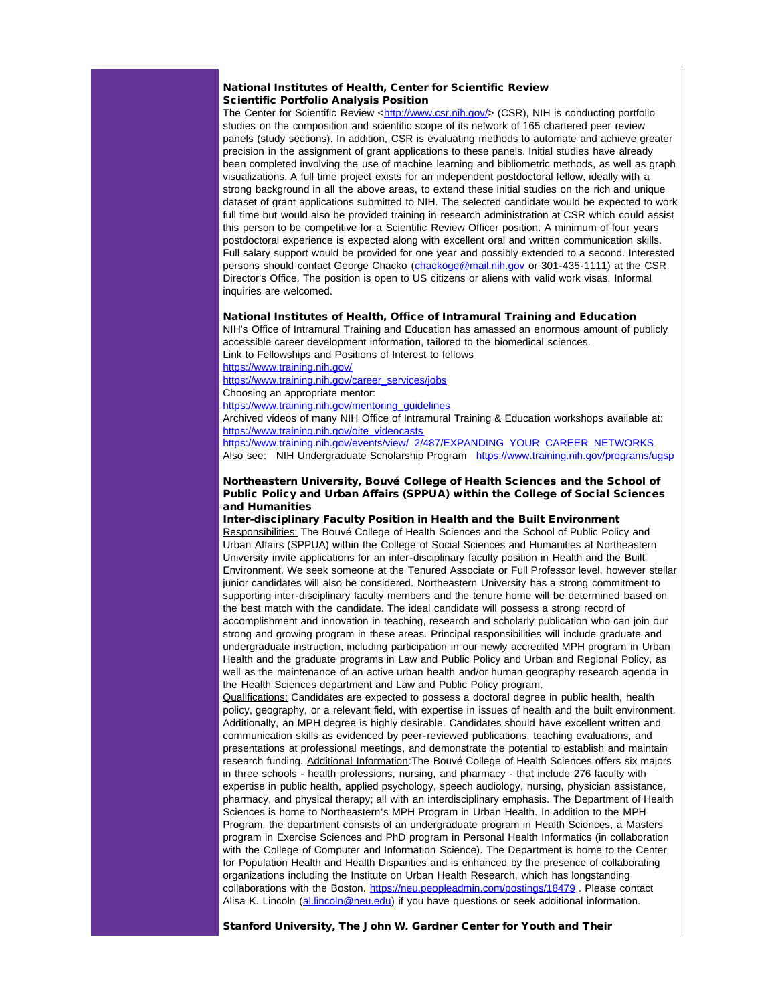## National Institutes of Health, Center for Scientific Review Scientific Portfolio Analysis Position

The Center for Scientific Review <[http://www.csr.nih.gov/](http://r20.rs6.net/tn.jsp?et=1109480927004&s=1&e=0012OgI-WeFo4uGdZb9wJrvZ-ZuLe9U1o684CIy6O2fXqDzpLyGMPqY9wfkt4PhEYsLL8NMSPbnwbcrE9LJ0NuImfRjE0rChdd0p-vQWkGMwJ8=)> (CSR), NIH is conducting portfolio studies on the composition and scientific scope of its network of 165 chartered peer review panels (study sections). In addition, CSR is evaluating methods to automate and achieve greater precision in the assignment of grant applications to these panels. Initial studies have already been completed involving the use of machine learning and bibliometric methods, as well as graph visualizations. A full time project exists for an independent postdoctoral fellow, ideally with a strong background in all the above areas, to extend these initial studies on the rich and unique dataset of grant applications submitted to NIH. The selected candidate would be expected to work full time but would also be provided training in research administration at CSR which could assist this person to be competitive for a Scientific Review Officer position. A minimum of four years postdoctoral experience is expected along with excellent oral and written communication skills. Full salary support would be provided for one year and possibly extended to a second. Interested persons should contact George Chacko ([chackoge@mail.nih.gov](mailto:chackoge@mail.nih.gov) or 301-435-1111) at the CSR Director's Office. The position is open to US citizens or aliens with valid work visas. Informal inquiries are welcomed.

#### National Institutes of Health, Office of Intramural Training and Education

NIH's Office of Intramural Training and Education has amassed an enormous amount of publicly accessible career development information, tailored to the biomedical sciences. Link to Fellowships and Positions of Interest to fellows

[https://www.training.nih.gov/](http://r20.rs6.net/tn.jsp?et=1109480927004&s=1&e=0012OgI-WeFo4t_utfWDQmXmX7yqwymYeF8OzMFA4-2zL9s_b24qIIzTiPqb20hYX7aCazbYL6yoEkoHOFK1EXvw6IKxtHBXd0SkZ1ya278O5ERpdHxDYS9kQ==)

[https://www.training.nih.gov/career\\_services/jobs](http://r20.rs6.net/tn.jsp?et=1109480927004&s=1&e=0012OgI-WeFo4tjeim5PbnTtGmxMUEoFcUHXtycYgpz1VWI2sxMVZxfCb43zApeN7EK5e2ArvJQvuzPRvHWyK6yjmf_NbluWV7pyfpaZcxh2IUtT6HFk6QQg3Co5kHkI5Z1XNAbka4KheHXcF8rileDfA==)

Choosing an appropriate mentor:

[https://www.training.nih.gov/mentoring\\_guidelines](http://r20.rs6.net/tn.jsp?et=1109480927004&s=1&e=0012OgI-WeFo4ux93P_-qal-sTNR-hikEFtV7GmFn1eP0bNRxPaOLIW1UfNBUTwNRvZYX4GdVr445gaiJj7vsGYZalHXFhJ7ggriGKpM29QinSBfwRaBZAd1oZ2jiHu1X0u4Ld9U3GoD57lqeHeeLF8KA==) Archived videos of many NIH Office of Intramural Training & Education workshops available at:

[https://www.training.nih.gov/oite\\_videocasts](http://r20.rs6.net/tn.jsp?et=1109480927004&s=1&e=0012OgI-WeFo4uKDWNwKH-Rx5okSODtIqIjWTtC4NPcgFRPKqj4k4rcEc7Ynq9RBjA6LJ6TBzHe5fyV14JlqrA8uV7JRln3DFwSKdpIH_Ucj3qPOXeZcHx6q4PEhfCBN09gMD2lFLXN96w=)

[https://www.training.nih.gov/events/view/\\_2/487/EXPANDING\\_YOUR\\_CAREER\\_NETWORKS](http://r20.rs6.net/tn.jsp?et=1109480927004&s=1&e=0012OgI-WeFo4uc42EWn3A_-xSyvvM10KAFjPXAuG-i2tXkShmLlcnmeSzeItU-GbU_W5dJVe21fElUP7eY3HkLQ8jikff2MS8Dhh7YbL4jPke7yFjR26yO7URHKEnOCVTM3LAsz7vvp2ZbqwfjOVJtHbliQihSWzD62t7sv6Uu0gdimpLkwUrE5VaQFeKBZWFi) Also see: NIH Undergraduate Scholarship Program [https://www.training.nih.gov/programs/ugsp](http://r20.rs6.net/tn.jsp?et=1109480927004&s=1&e=0012OgI-WeFo4tmZwjADpm3jdWDETdDMY5n2QLyQrflwys-kfVayfxmeACIpLiJR0brZXVmZec_BypkgVKGrb6fGQd-8pvgR5kwhVM0gxNFGQ2tkKsOXz4I_6V06bp-eMUS4emAtXijY4g=)

## Northeastern University, Bouvé College of Health Sciences and the School of Public Policy and Urban Affairs (SPPUA) within the College of Social Sciences and Humanities

Inter-disciplinary Faculty Position in Health and the Built Environment Responsibilities: The Bouvé College of Health Sciences and the School of Public Policy and Urban Affairs (SPPUA) within the College of Social Sciences and Humanities at Northeastern University invite applications for an inter-disciplinary faculty position in Health and the Built Environment. We seek someone at the Tenured Associate or Full Professor level, however stellar junior candidates will also be considered. Northeastern University has a strong commitment to supporting inter-disciplinary faculty members and the tenure home will be determined based on the best match with the candidate. The ideal candidate will possess a strong record of accomplishment and innovation in teaching, research and scholarly publication who can join our strong and growing program in these areas. Principal responsibilities will include graduate and undergraduate instruction, including participation in our newly accredited MPH program in Urban Health and the graduate programs in Law and Public Policy and Urban and Regional Policy, as well as the maintenance of an active urban health and/or human geography research agenda in the Health Sciences department and Law and Public Policy program.

Qualifications: Candidates are expected to possess a doctoral degree in public health, health policy, geography, or a relevant field, with expertise in issues of health and the built environment. Additionally, an MPH degree is highly desirable. Candidates should have excellent written and communication skills as evidenced by peer-reviewed publications, teaching evaluations, and presentations at professional meetings, and demonstrate the potential to establish and maintain research funding. Additional Information:The Bouvé College of Health Sciences offers six majors in three schools - health professions, nursing, and pharmacy - that include 276 faculty with expertise in public health, applied psychology, speech audiology, nursing, physician assistance, pharmacy, and physical therapy; all with an interdisciplinary emphasis. The Department of Health Sciences is home to Northeastern's MPH Program in Urban Health. In addition to the MPH Program, the department consists of an undergraduate program in Health Sciences, a Masters program in Exercise Sciences and PhD program in Personal Health Informatics (in collaboration with the College of Computer and Information Science). The Department is home to the Center for Population Health and Health Disparities and is enhanced by the presence of collaborating organizations including the Institute on Urban Health Research, which has longstanding collaborations with the Boston. [https://neu.peopleadmin.com/postings/18479](http://r20.rs6.net/tn.jsp?et=1109480927004&s=1&e=0012OgI-WeFo4tMTb28wMEfwaGMT88o5lLYT9_3cbOKMaqY4jP94AvGcRx2_0CMDQYZxJGITdD-kuUIRIqY9yqbmm3UVFPW6_RB4wiu-9iyG07RIIj-P2XSmb7fdcCEH9yTjgZ-KJJnevY=) . Please contact Alisa K. Lincoln ([al.lincoln@neu.edu\)](mailto:al.lincoln@neu.edu) if you have questions or seek additional information.

Stanford University, The John W. Gardner Center for Youth and Their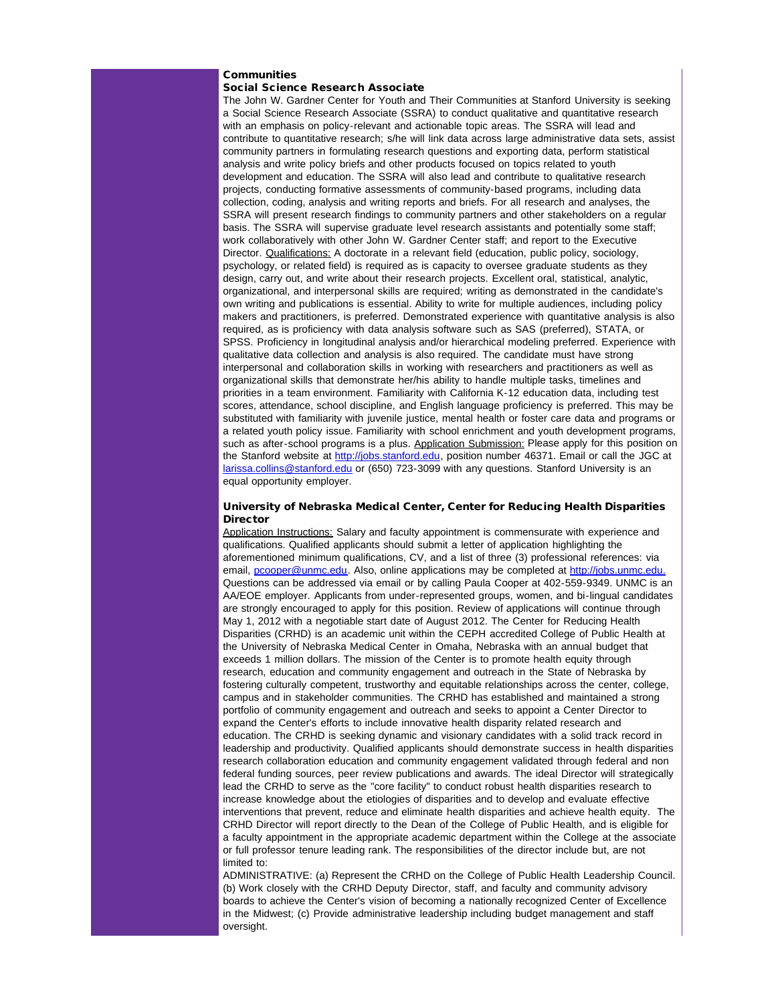## **Communities**

## Social Science Research Associate

The John W. Gardner Center for Youth and Their Communities at Stanford University is seeking a Social Science Research Associate (SSRA) to conduct qualitative and quantitative research with an emphasis on policy-relevant and actionable topic areas. The SSRA will lead and contribute to quantitative research; s/he will link data across large administrative data sets, assist community partners in formulating research questions and exporting data, perform statistical analysis and write policy briefs and other products focused on topics related to youth development and education. The SSRA will also lead and contribute to qualitative research projects, conducting formative assessments of community-based programs, including data collection, coding, analysis and writing reports and briefs. For all research and analyses, the SSRA will present research findings to community partners and other stakeholders on a regular basis. The SSRA will supervise graduate level research assistants and potentially some staff; work collaboratively with other John W. Gardner Center staff; and report to the Executive Director. Qualifications: A doctorate in a relevant field (education, public policy, sociology, psychology, or related field) is required as is capacity to oversee graduate students as they design, carry out, and write about their research projects. Excellent oral, statistical, analytic, organizational, and interpersonal skills are required; writing as demonstrated in the candidate's own writing and publications is essential. Ability to write for multiple audiences, including policy makers and practitioners, is preferred. Demonstrated experience with quantitative analysis is also required, as is proficiency with data analysis software such as SAS (preferred), STATA, or SPSS. Proficiency in longitudinal analysis and/or hierarchical modeling preferred. Experience with qualitative data collection and analysis is also required. The candidate must have strong interpersonal and collaboration skills in working with researchers and practitioners as well as organizational skills that demonstrate her/his ability to handle multiple tasks, timelines and priorities in a team environment. Familiarity with California K-12 education data, including test scores, attendance, school discipline, and English language proficiency is preferred. This may be substituted with familiarity with juvenile justice, mental health or foster care data and programs or a related youth policy issue. Familiarity with school enrichment and youth development programs, such as after-school programs is a plus. Application Submission: Please apply for this position on the Stanford website at [http://jobs.stanford.edu](http://r20.rs6.net/tn.jsp?et=1109480927004&s=1&e=0012OgI-WeFo4utgTibUtCYBw8UUJdvEN6IN8uLHXtlgPOfjaNRatQhLC8zlSZ57oVxFFA-37zn2aOslgN18FWyrue0rpAzGtJvN3RGAoCM7IQ0PkxqBwUi1w==), position number 46371. Email or call the JGC at [larissa.collins@stanford.edu](mailto:larissa.collins@stanford.edu) or (650) 723-3099 with any questions. Stanford University is an equal opportunity employer.

## University of Nebraska Medical Center, Center for Reducing Health Disparities **Director**

Application Instructions: Salary and faculty appointment is commensurate with experience and qualifications. Qualified applicants should submit a letter of application highlighting the aforementioned minimum qualifications, CV, and a list of three (3) professional references: via email, [pcooper@unmc.edu](mailto:pcooper@unmc.edu). Also, online applications may be completed at [http://jobs.unmc.edu.](http://r20.rs6.net/tn.jsp?et=1109480927004&s=1&e=0012OgI-WeFo4vEiF89B7yMtCqCA3BflKf0-VZv2g82RbHsLkuQCAUFVXQZH7tM6mWMRyS7wqNVfCBjIeQJwYxIwCknt6v01yMsPdMKw0XWtWo=) Questions can be addressed via email or by calling Paula Cooper at 402-559-9349. UNMC is an AA/EOE employer. Applicants from under-represented groups, women, and bi-lingual candidates are strongly encouraged to apply for this position. Review of applications will continue through May 1, 2012 with a negotiable start date of August 2012. The Center for Reducing Health Disparities (CRHD) is an academic unit within the CEPH accredited College of Public Health at the University of Nebraska Medical Center in Omaha, Nebraska with an annual budget that exceeds 1 million dollars. The mission of the Center is to promote health equity through research, education and community engagement and outreach in the State of Nebraska by fostering culturally competent, trustworthy and equitable relationships across the center, college, campus and in stakeholder communities. The CRHD has established and maintained a strong portfolio of community engagement and outreach and seeks to appoint a Center Director to expand the Center's efforts to include innovative health disparity related research and education. The CRHD is seeking dynamic and visionary candidates with a solid track record in leadership and productivity. Qualified applicants should demonstrate success in health disparities research collaboration education and community engagement validated through federal and non federal funding sources, peer review publications and awards. The ideal Director will strategically lead the CRHD to serve as the "core facility" to conduct robust health disparities research to increase knowledge about the etiologies of disparities and to develop and evaluate effective interventions that prevent, reduce and eliminate health disparities and achieve health equity. The CRHD Director will report directly to the Dean of the College of Public Health, and is eligible for a faculty appointment in the appropriate academic department within the College at the associate or full professor tenure leading rank. The responsibilities of the director include but, are not limited to:

ADMINISTRATIVE: (a) Represent the CRHD on the College of Public Health Leadership Council. (b) Work closely with the CRHD Deputy Director, staff, and faculty and community advisory boards to achieve the Center's vision of becoming a nationally recognized Center of Excellence in the Midwest; (c) Provide administrative leadership including budget management and staff oversight.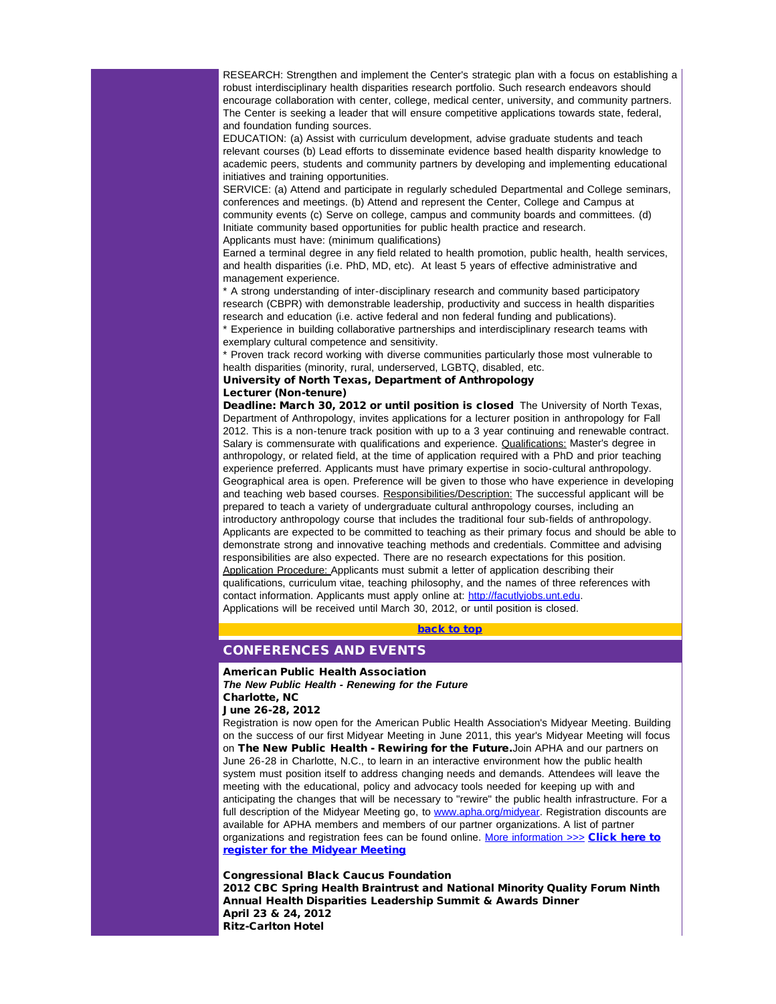RESEARCH: Strengthen and implement the Center's strategic plan with a focus on establishing a robust interdisciplinary health disparities research portfolio. Such research endeavors should encourage collaboration with center, college, medical center, university, and community partners. The Center is seeking a leader that will ensure competitive applications towards state, federal, and foundation funding sources.

EDUCATION: (a) Assist with curriculum development, advise graduate students and teach relevant courses (b) Lead efforts to disseminate evidence based health disparity knowledge to academic peers, students and community partners by developing and implementing educational initiatives and training opportunities.

SERVICE: (a) Attend and participate in regularly scheduled Departmental and College seminars, conferences and meetings. (b) Attend and represent the Center, College and Campus at community events (c) Serve on college, campus and community boards and committees. (d) Initiate community based opportunities for public health practice and research. Applicants must have: (minimum qualifications)

Earned a terminal degree in any field related to health promotion, public health, health services, and health disparities (i.e. PhD, MD, etc). At least 5 years of effective administrative and management experience.

\* A strong understanding of inter-disciplinary research and community based participatory research (CBPR) with demonstrable leadership, productivity and success in health disparities research and education (i.e. active federal and non federal funding and publications).

Experience in building collaborative partnerships and interdisciplinary research teams with exemplary cultural competence and sensitivity.

Proven track record working with diverse communities particularly those most vulnerable to health disparities (minority, rural, underserved, LGBTQ, disabled, etc.

#### University of North Texas, Department of Anthropology Lecturer (Non-tenure)

<span id="page-10-0"></span>Deadline: March 30, 2012 or until position is closed The University of North Texas, Department of Anthropology, invites applications for a lecturer position in anthropology for Fall 2012. This is a non-tenure track position with up to a 3 year continuing and renewable contract. Salary is commensurate with qualifications and experience. Qualifications: Master's degree in anthropology, or related field, at the time of application required with a PhD and prior teaching experience preferred. Applicants must have primary expertise in socio-cultural anthropology. Geographical area is open. Preference will be given to those who have experience in developing and teaching web based courses. Responsibilities/Description: The successful applicant will be prepared to teach a variety of undergraduate cultural anthropology courses, including an introductory anthropology course that includes the traditional four sub-fields of anthropology. Applicants are expected to be committed to teaching as their primary focus and should be able to demonstrate strong and innovative teaching methods and credentials. Committee and advising responsibilities are also expected. There are no research expectations for this position. Application Procedure: Applicants must submit a letter of application describing their qualifications, curriculum vitae, teaching philosophy, and the names of three references with contact information. Applicants must apply online at: [http://facutlyjobs.unt.edu.](http://r20.rs6.net/tn.jsp?et=1109480927004&s=1&e=0012OgI-WeFo4umlDT2q3d6f8CIPmb_3PKOYt0SHrx39CJt0BT61EW2EMMh_IoekCUjHEk10RqRFtuAyHYbCnFXeNjuZBxDY-ADTxnQa_DJndl-ZptEdKCLlA==) Applications will be received until March 30, 2012, or until position is closed.

[back to top](#page-0-4)

## CONFERENCES AND EVENTS

#### American Public Health Association

*The New Public Health - Renewing for the Future* Charlotte, NC

### June 26-28, 2012

Registration is now open for the American Public Health Association's Midyear Meeting. Building on the success of our first Midyear Meeting in June 2011, this year's Midyear Meeting will focus on The New Public Health - Rewiring for the Future. Join APHA and our partners on June 26-28 in Charlotte, N.C., to learn in an interactive environment how the public health system must position itself to address changing needs and demands. Attendees will leave the meeting with the educational, policy and advocacy tools needed for keeping up with and anticipating the changes that will be necessary to "rewire" the public health infrastructure. For a full description of the Midyear Meeting go, to [www.apha.org/midyear.](http://r20.rs6.net/tn.jsp?et=1109480927004&s=1&e=0012OgI-WeFo4uO6jeYMCqW5i-RXWjHhNMCooQhmvuhYhSfOYnf28qdizmmIDiB0NmrpHQ96ok45imeftufRwOab7pSuWjIgRS_jub_Dwr1Qimr3tzrc1-AzfyhS6Xq1-NEhVWP--QO4k4VBzqDU4gnVy_A3Iy5ctcz) Registration discounts are available for APHA members and members of our partner organizations. A list of partner organizations and registration fees can be found online. [More information](http://r20.rs6.net/tn.jsp?et=1109480927004&s=1&e=0012OgI-WeFo4s_29ebFah6YrAlmk-XnC8S_IHjBbin4KzlY-OGSIu6NLD1F5AMYYk2AAWhfw50D50kzTz0QBmtvESbLkwFvWhddE-_PkckvOGSAYJbqH9CbgEHKzU-OGDCb8DSaR5RCHbFZGWRUiUAdBOa3yVnAE-r) >>> [Click here to](http://r20.rs6.net/tn.jsp?et=1109480927004&s=1&e=0012OgI-WeFo4vlTbN9dwcczl-CnH9V4IaioAOJzJsNxRbmJdelvzkxF7YAtmtNFoSsojM6bnYJrmZbfZwjT-RL_Gj3LTwHZFcwkSvSHLSyWisT9SMZm7EZh_s9BRUeqS3I8CnurYiX_kxBx0EHOt9sF0E9VnApj1ti) [register for the Midyear Meeting](http://r20.rs6.net/tn.jsp?et=1109480927004&s=1&e=0012OgI-WeFo4vlTbN9dwcczl-CnH9V4IaioAOJzJsNxRbmJdelvzkxF7YAtmtNFoSsojM6bnYJrmZbfZwjT-RL_Gj3LTwHZFcwkSvSHLSyWisT9SMZm7EZh_s9BRUeqS3I8CnurYiX_kxBx0EHOt9sF0E9VnApj1ti)

#### Congressional Black Caucus Foundation

2012 CBC Spring Health Braintrust and National Minority Quality Forum Ninth Annual Health Disparities Leadership Summit & Awards Dinner April 23 & 24, 2012 Ritz-Carlton Hotel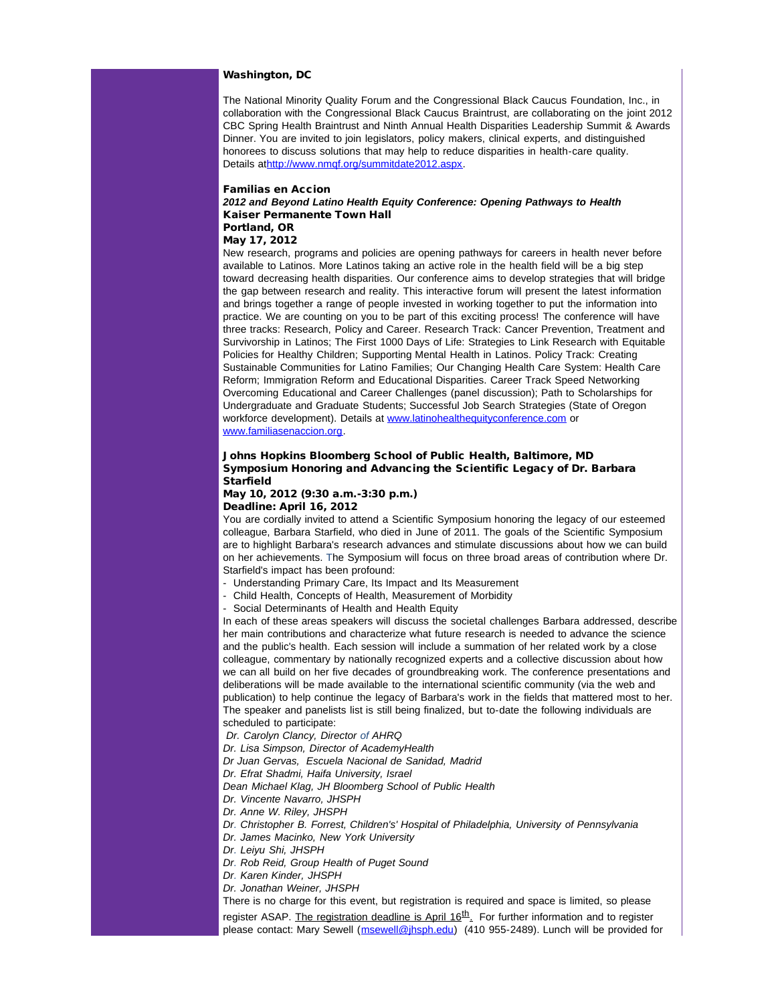## Washington, DC

The National Minority Quality Forum and the Congressional Black Caucus Foundation, Inc., in collaboration with the Congressional Black Caucus Braintrust, are collaborating on the joint 2012 CBC Spring Health Braintrust and Ninth Annual Health Disparities Leadership Summit & Awards Dinner. You are invited to join legislators, policy makers, clinical experts, and distinguished honorees to discuss solutions that may help to reduce disparities in health-care quality. Details a[thttp://www.nmqf.org/summitdate2012.aspx](http://r20.rs6.net/tn.jsp?et=1109480927004&s=1&e=0012OgI-WeFo4uqzLqIEtxxqkL3CFA1nYR1DL232s0HHmecSOJyz6xeF49qSnX3fpQuSuPeXaY-jIxYAl1LOGS6jZ9A5IfKL9xYCLLzDN6W-2PWlTzXbtQdp9Wq3BPI8Qf2).

#### Familias en Accion

## *2012 and Beyond Latino Health Equity Conference: Opening Pathways to Health* Kaiser Permanente Town Hall Portland, OR

May 17, 2012

New research, programs and policies are opening pathways for careers in health never before available to Latinos. More Latinos taking an active role in the health field will be a big step toward decreasing health disparities. Our conference aims to develop strategies that will bridge the gap between research and reality. This interactive forum will present the latest information and brings together a range of people invested in working together to put the information into practice. We are counting on you to be part of this exciting process! The conference will have three tracks: Research, Policy and Career. Research Track: Cancer Prevention, Treatment and Survivorship in Latinos; The First 1000 Days of Life: Strategies to Link Research with Equitable Policies for Healthy Children; Supporting Mental Health in Latinos. Policy Track: Creating Sustainable Communities for Latino Families; Our Changing Health Care System: Health Care Reform; Immigration Reform and Educational Disparities. Career Track Speed Networking Overcoming Educational and Career Challenges (panel discussion); Path to Scholarships for Undergraduate and Graduate Students; Successful Job Search Strategies (State of Oregon workforce development). Details at [www.latinohealthequityconference.com](http://r20.rs6.net/tn.jsp?et=1109480927004&s=1&e=0012OgI-WeFo4vHjsF_nBAuEQbG-YCsRgyLhNiaUaOdVGjrvfwTF9xPAAQDWV0OAh8mLgLNIesQuR791k6s0HGrHM8x1AFPEfj5w-TMp7lFj67m4ltc1vfGy_dxuRMkjw0_r8Sx3jokenI=) or [www.familiasenaccion.org.](http://r20.rs6.net/tn.jsp?et=1109480927004&s=1&e=0012OgI-WeFo4uw3nskZUBX19tXr4U6ysDMVRH_32FG4KDfBKL20M5o770674xJwjoinCzmeNnmoq1riYbdU4PoxVq8pe-bXGHty2ezFuT91aidPiq8zgV5gw==)

## Johns Hopkins Bloomberg School of Public Health, Baltimore, MD Symposium Honoring and Advancing the Scientific Legacy of Dr. Barbara Starfield

### May 10, 2012 (9:30 a.m.-3:30 p.m.) Deadline: April 16, 2012

You are cordially invited to attend a Scientific Symposium honoring the legacy of our esteemed colleague, Barbara Starfield, who died in June of 2011. The goals of the Scientific Symposium are to highlight Barbara's research advances and stimulate discussions about how we can build on her achievements. The Symposium will focus on three broad areas of contribution where Dr. Starfield's impact has been profound:

- Understanding Primary Care, Its Impact and Its Measurement
- Child Health, Concepts of Health, Measurement of Morbidity
- Social Determinants of Health and Health Equity

In each of these areas speakers will discuss the societal challenges Barbara addressed, describe her main contributions and characterize what future research is needed to advance the science and the public's health. Each session will include a summation of her related work by a close colleague, commentary by nationally recognized experts and a collective discussion about how we can all build on her five decades of groundbreaking work. The conference presentations and deliberations will be made available to the international scientific community (via the web and publication) to help continue the legacy of Barbara's work in the fields that mattered most to her. The speaker and panelists list is still being finalized, but to-date the following individuals are scheduled to participate:

*Dr. Carolyn Clancy, Director of AHRQ* 

- *Dr. Lisa Simpson, Director of AcademyHealth*
- *Dr Juan Gervas, Escuela Nacional de Sanidad, Madrid*

*Dr. Efrat Shadmi, Haifa University, Israel*

*Dean Michael Klag, JH Bloomberg School of Public Health*

- *Dr. Vincente Navarro, JHSPH*
- *Dr. Anne W. Riley, JHSPH*
- *Dr. Christopher B. Forrest, Children's' Hospital of Philadelphia, University of Pennsylvania*
- *Dr. James Macinko, New York University*
- *Dr. Leiyu Shi, JHSPH*
- *Dr. Rob Reid, Group Health of Puget Sound*
- *Dr. Karen Kinder, JHSPH*
- *Dr. Jonathan Weiner, JHSPH*

There is no charge for this event, but registration is required and space is limited, so please register ASAP. The registration deadline is April  $16<sup>th</sup>$ . For further information and to register please contact: Mary Sewell ([msewell@jhsph.edu](mailto:msewell@jhsph.edu)) (410 955-2489). Lunch will be provided for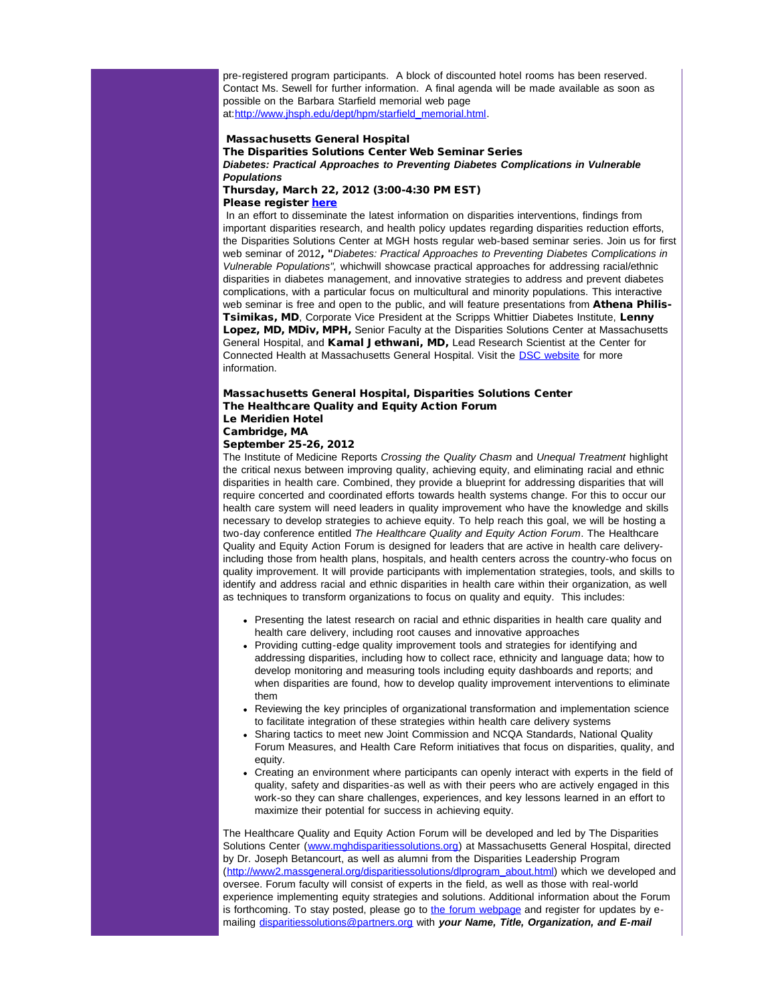pre-registered program participants. A block of discounted hotel rooms has been reserved. Contact Ms. Sewell for further information. A final agenda will be made available as soon as possible on the Barbara Starfield memorial web page at[:http://www.jhsph.edu/dept/hpm/starfield\\_memorial.html](http://r20.rs6.net/tn.jsp?et=1109480927004&s=1&e=0012OgI-WeFo4s7chYamMwKabKoXQbV2flukI_xQHMOfWYlAqtyW2NWa59M7ZRNbqkRrdGu-mrBLIt1H4bqtvZGUOGTc136C-FPH2qVW8hcmpmJVKq_8lYm8g8eI8ionJ6iC2lbP6JqjF9gBB407ftBk7inPLVey5DW).

### Massachusetts General Hospital

The Disparities Solutions Center Web Seminar Series *Diabetes: Practical Approaches to Preventing Diabetes Complications in Vulnerable Populations*

Thursday, March 22, 2012 (3:00-4:30 PM EST) Please register [here](http://r20.rs6.net/tn.jsp?et=1109480927004&s=1&e=0012OgI-WeFo4sybjC9D3GhwtelUfb7FNJogb07TjcNk7tkvP-lQCV5LuvheMmixN_w46khJJptkc-fdh8eJ7fZkql4UL_6LqWp2QjKX9SwzGoj9o4p-13f_IQ1xvOgsscGvZcrDcBiU4Y=)

In an effort to disseminate the latest information on disparities interventions, findings from important disparities research, and health policy updates regarding disparities reduction efforts, the Disparities Solutions Center at MGH hosts regular web-based seminar series. Join us for first web seminar of 2012, "*Diabetes: Practical Approaches to Preventing Diabetes Complications in Vulnerable Populations",* whichwill showcase practical approaches for addressing racial/ethnic disparities in diabetes management, and innovative strategies to address and prevent diabetes complications, with a particular focus on multicultural and minority populations. This interactive web seminar is free and open to the public, and will feature presentations from Athena Philis-**Tsimikas, MD**, Corporate Vice President at the Scripps Whittier Diabetes Institute, Lenny Lopez, MD, MDiv, MPH, Senior Faculty at the Disparities Solutions Center at Massachusetts General Hospital, and Kamal Jethwani, MD, Lead Research Scientist at the Center for Connected Health at Massachusetts General Hospital. Visit the **DSC website** for more information.

### Massachusetts General Hospital, Disparities Solutions Center The Healthcare Quality and Equity Action Forum Le Meridien Hotel Cambridge, MA

September 25-26, 2012

The Institute of Medicine Reports *Crossing the Quality Chasm* and *Unequal Treatment* highlight the critical nexus between improving quality, achieving equity, and eliminating racial and ethnic disparities in health care. Combined, they provide a blueprint for addressing disparities that will require concerted and coordinated efforts towards health systems change. For this to occur our health care system will need leaders in quality improvement who have the knowledge and skills necessary to develop strategies to achieve equity. To help reach this goal, we will be hosting a two-day conference entitled *The Healthcare Quality and Equity Action Forum*. The Healthcare Quality and Equity Action Forum is designed for leaders that are active in health care deliveryincluding those from health plans, hospitals, and health centers across the country-who focus on quality improvement. It will provide participants with implementation strategies, tools, and skills to identify and address racial and ethnic disparities in health care within their organization, as well as techniques to transform organizations to focus on quality and equity. This includes:

- Presenting the latest research on racial and ethnic disparities in health care quality and health care delivery, including root causes and innovative approaches
- Providing cutting-edge quality improvement tools and strategies for identifying and addressing disparities, including how to collect race, ethnicity and language data; how to develop monitoring and measuring tools including equity dashboards and reports; and when disparities are found, how to develop quality improvement interventions to eliminate them
- Reviewing the key principles of organizational transformation and implementation science to facilitate integration of these strategies within health care delivery systems
- Sharing tactics to meet new Joint Commission and NCQA Standards, National Quality Forum Measures, and Health Care Reform initiatives that focus on disparities, quality, and equity.
- Creating an environment where participants can openly interact with experts in the field of quality, safety and disparities-as well as with their peers who are actively engaged in this work-so they can share challenges, experiences, and key lessons learned in an effort to maximize their potential for success in achieving equity.

The Healthcare Quality and Equity Action Forum will be developed and led by The Disparities Solutions Center ([www.mghdisparitiessolutions.org](http://r20.rs6.net/tn.jsp?et=1109480927004&s=1&e=0012OgI-WeFo4t-EbSmZ7Vl_k14AAFyQ9DNFAQxhr1sDU8oYiAy-ryoUulKAxJ4967SsKpwl0SjcndndAugZFg_9TzNiC_zvtv6clNsycRb5K4STW4NlENG9q1jiaiQneWEBHAQ1yp_u9E=)) at Massachusetts General Hospital, directed by Dr. Joseph Betancourt, as well as alumni from the Disparities Leadership Program ([http://www2.massgeneral.org/disparitiessolutions/dlprogram\\_about.html](http://r20.rs6.net/tn.jsp?et=1109480927004&s=1&e=0012OgI-WeFo4vGSgDxn2ZlVPucwib3GQoGlyMeM001jq1xd_7E6V-C8OXcJyOaSFeEFlTrGB3sNiroJQSLsc11hIwmWTSteMF-Y0K3IUvYLHayjT0q5KoEoe7I9F6veU-gzKrVw8Aohpc=)) which we developed and oversee. Forum faculty will consist of experts in the field, as well as those with real-world experience implementing equity strategies and solutions. Additional information about the Forum is forthcoming. To stay posted, please go to [the forum webpage](http://r20.rs6.net/tn.jsp?et=1109480927004&s=1&e=0012OgI-WeFo4sYqDt1vqymZExuN_Fhp37eEHNUIHM2CSWG31OBjUrbdD_YPZuYsHMGvjnuWA9nwKtKjMcz_dE7VcI0AQMZOQmJMaLNnd8q9qIrIIaA5V2jZslFTrPgyk3CCFTU5V6WOyU=) and register for updates by  $e$ mailing [disparitiessolutions@partners.org](mailto:disparitiessolutions@partners.org?subject=The%20Healthcare%20Quality%20and%20Equity%20Action%20Summit) with *your Name, Title, Organization, and E-mail*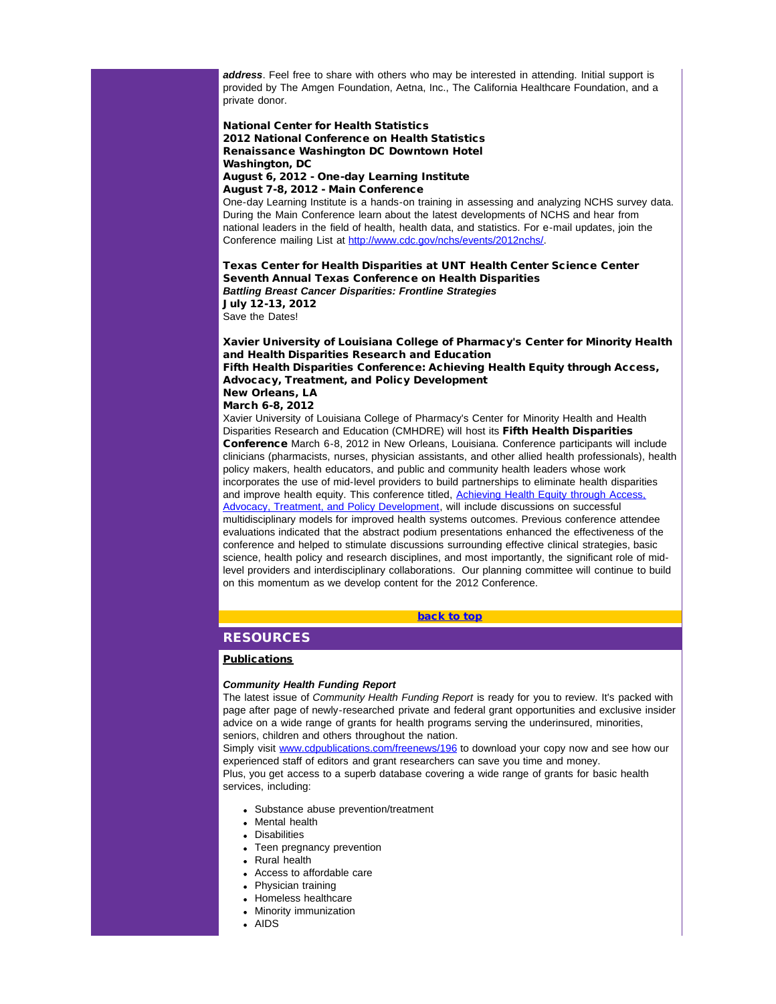*address*. Feel free to share with others who may be interested in attending. Initial support is provided by The Amgen Foundation, Aetna, Inc., The California Healthcare Foundation, and a private donor.

## National Center for Health Statistics 2012 National Conference on Health Statistics Renaissance Washington DC Downtown Hotel Washington, DC

#### August 6, 2012 - One-day Learning Institute August 7-8, 2012 - Main Conference

One-day Learning Institute is a hands-on training in assessing and analyzing NCHS survey data. During the Main Conference learn about the latest developments of NCHS and hear from national leaders in the field of health, health data, and statistics. For e-mail updates, join the Conference mailing List at [http://www.cdc.gov/nchs/events/2012nchs/](http://r20.rs6.net/tn.jsp?et=1109480927004&s=1&e=0012OgI-WeFo4vbw4CorzLldhp-kft-0bCUHzkKa6M8hod5t8h-ZJ3EP8iduYreQ8bIFzd5ha_fd3p9c2BeRW-lk9A36w5kPpQqAzrtl44HA7pfiQjS6Piiva1_1A0h6JWyx6Dyli0TYuQ=).

Texas Center for Health Disparities at UNT Health Center Science Center Seventh Annual Texas Conference on Health Disparities *Battling Breast Cancer Disparities: Frontline Strategies* July 12-13, 2012 Save the Dates!

Xavier University of Louisiana College of Pharmacy's Center for Minority Health and Health Disparities Research and Education Fifth Health Disparities Conference: Achieving Health Equity through Access, Advocacy, Treatment, and Policy Development New Orleans, LA March 6-8, 2012

<span id="page-13-0"></span>Xavier University of Louisiana College of Pharmacy's Center for Minority Health and Health Disparities Research and Education (CMHDRE) will host its Fifth Health Disparities Conference March 6-8, 2012 in New Orleans, Louisiana. Conference participants will include clinicians (pharmacists, nurses, physician assistants, and other allied health professionals), health policy makers, health educators, and public and community health leaders whose work incorporates the use of mid-level providers to build partnerships to eliminate health disparities and improve health equity. This conference titled, Achieving Health Equity through Access [Advocacy, Treatment, and Policy Development](http://r20.rs6.net/tn.jsp?et=1109480927004&s=1&e=0012OgI-WeFo4tP0SsJx70f2uk6B204mzg5w8oKH98d2lWzokHQG9G8rmijRM1kb4YtLUJMPYmQcmS9uurdRk_2MxDlByFnbSCL5CLsSvZIru1gMQFP31n5sGRhHndqUDoYDSV-08f09Fg=), will include discussions on successful multidisciplinary models for improved health systems outcomes. Previous conference attendee evaluations indicated that the abstract podium presentations enhanced the effectiveness of the conference and helped to stimulate discussions surrounding effective clinical strategies, basic science, health policy and research disciplines, and most importantly, the significant role of midlevel providers and interdisciplinary collaborations. Our planning committee will continue to build on this momentum as we develop content for the 2012 Conference.

#### [back to top](#page-0-4)

# **RESOURCES**

## **Publications**

#### *Community Health Funding Report*

The latest issue of *Community Health Funding Report* is ready for you to review. It's packed with page after page of newly-researched private and federal grant opportunities and exclusive insider advice on a wide range of grants for health programs serving the underinsured, minorities, seniors, children and others throughout the nation.

Simply visit [www.cdpublications.com/freenews/196](http://r20.rs6.net/tn.jsp?et=1109480927004&s=1&e=0012OgI-WeFo4uuYIhnL4mIxH-MToIdtM352sEpzrCVDiEtjkXvz9MKYhZEzGDsGlQMSlmiBCQdBa45spIOAPpPJUPUBJBjJkYeVvtWE0wXPq8WDgx_68b625fDy1x8jreCmrzJo_NpvQQ=) to download your copy now and see how our experienced staff of editors and grant researchers can save you time and money. Plus, you get access to a superb database covering a wide range of grants for basic health services, including:

- Substance abuse prevention/treatment
- Mental health
- Disabilities
- Teen pregnancy prevention
- Rural health
- Access to affordable care
- Physician training
- Homeless healthcare
- Minority immunization
- AIDS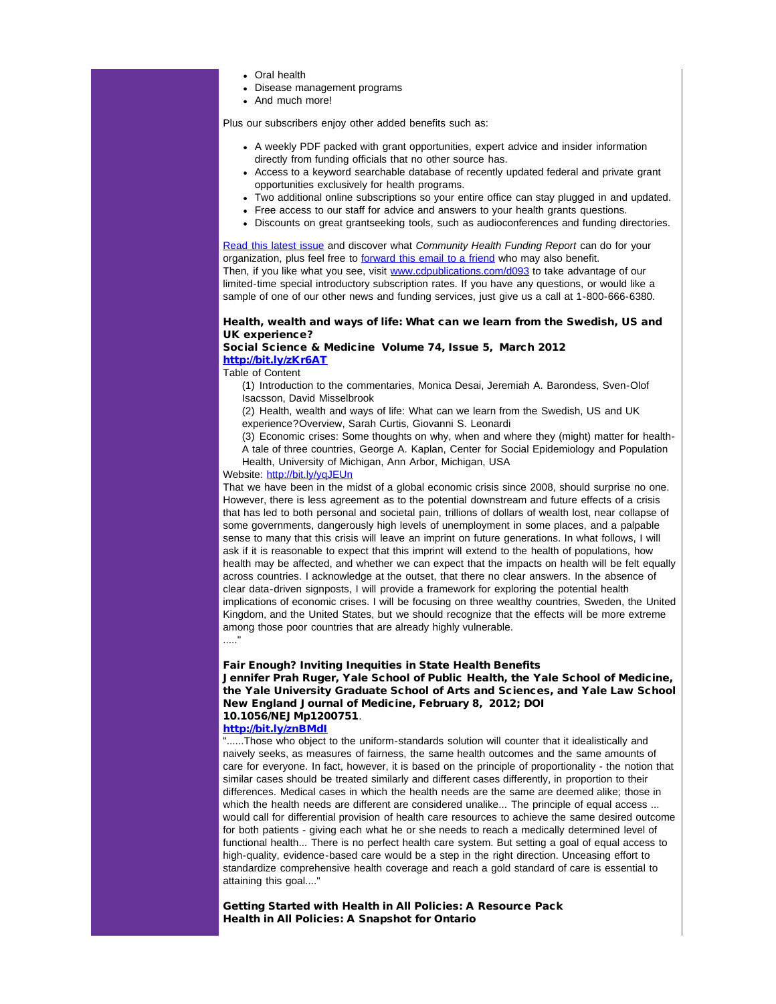- Oral health
- Disease management programs
- And much more!

Plus our subscribers enjoy other added benefits such as:

- A weekly PDF packed with grant opportunities, expert advice and insider information directly from funding officials that no other source has.
- Access to a keyword searchable database of recently updated federal and private grant opportunities exclusively for health programs.
- Two additional online subscriptions so your entire office can stay plugged in and updated.
- Free access to our staff for advice and answers to your health grants questions.
- Discounts on great grantseeking tools, such as audioconferences and funding directories.

[Read this latest issue](http://r20.rs6.net/tn.jsp?et=1109480927004&s=1&e=0012OgI-WeFo4uuYIhnL4mIxH-MToIdtM352sEpzrCVDiEtjkXvz9MKYhZEzGDsGlQMSlmiBCQdBa45spIOAPpPJUPUBJBjJkYeVvtWE0wXPq8WDgx_68b625fDy1x8jreCmrzJo_NpvQQ=) and discover what *Community Health Funding Report* can do for your organization, plus feel free to [forward this email to a friend](http://r20.rs6.net/tn.jsp?et=1109480927004&s=1&e=0012OgI-WeFo4sEnaI1d3_C3xdeK5lHqBQ7u6AtVFjXfWng7u9NNtF-OtovX14PDZwVR1swQPHStkJzr3sz3xi3zM1-xnMkg-W3qcy1vv97uayd8vYOWujtrVa_hy9rIeVWGdPVinImAUfIFuhG3xuowy4z-r4R7saLCS1dc7aDhvwDH7t8quN2SfUgQMnf5fQohzlyx3fr7QUcf9Wqy6_xlbv3h71Hsi6N32TufeOA8XA=) who may also benefit. Then, if you like what you see, visit [www.cdpublications.com/d093](http://r20.rs6.net/tn.jsp?et=1109480927004&s=1&e=0012OgI-WeFo4s38t0P2HkLMjR5eszeDjqmp-OQfUfU1oThJUeabrDPIT6LF3FNxnV-PqimBpfL9wd5vdeITM4skfWvHWuZT97Nj7ScLew-M9Wbo-cEBa3mws1fe2_50bL6) to take advantage of our limited-time special introductory subscription rates. If you have any questions, or would like a sample of one of our other news and funding services, just give us a call at 1-800-666-6380.

## Health, wealth and ways of life: What can we learn from the Swedish, US and UK experience?

### Social Science & Medicine Volume 74, Issue 5, March 2012 [http://bit.ly/zKr6AT](http://r20.rs6.net/tn.jsp?et=1109480927004&s=1&e=0012OgI-WeFo4uwYN2JgjWDDhWfKQMXIkc5-MDbp2Zw-EVv9BfJCjTG2IPRwX8Kgj25qqS1Xj7i71PSsq9iWDw6ah41SJe6jlAYrCV44ee-AVs=)

Table of Content

(1) Introduction to the commentaries, Monica Desai, Jeremiah A. Barondess, Sven-Olof Isacsson, David Misselbrook

(2) Health, wealth and ways of life: What can we learn from the Swedish, US and UK experience?Overview, Sarah Curtis, Giovanni S. Leonardi

(3) Economic crises: Some thoughts on why, when and where they (might) matter for health-A tale of three countries, George A. Kaplan, Center for Social Epidemiology and Population Health, University of Michigan, Ann Arbor, Michigan, USA

## Website: [http://bit.ly/yqJEUn](http://r20.rs6.net/tn.jsp?et=1109480927004&s=1&e=0012OgI-WeFo4tVKqo7mbttzZURtUEvHe6GVSvU7L7JlRPKaYGxrk9pR7bRWWFrjixREQrUiciax4ZQmwNmCpj2RTGczmRfdHDKjJaAf90dNOQ=)

That we have been in the midst of a global economic crisis since 2008, should surprise no one. However, there is less agreement as to the potential downstream and future effects of a crisis that has led to both personal and societal pain, trillions of dollars of wealth lost, near collapse of some governments, dangerously high levels of unemployment in some places, and a palpable sense to many that this crisis will leave an imprint on future generations. In what follows, I will ask if it is reasonable to expect that this imprint will extend to the health of populations, how health may be affected, and whether we can expect that the impacts on health will be felt equally across countries. I acknowledge at the outset, that there no clear answers. In the absence of clear data-driven signposts, I will provide a framework for exploring the potential health implications of economic crises. I will be focusing on three wealthy countries, Sweden, the United Kingdom, and the United States, but we should recognize that the effects will be more extreme among those poor countries that are already highly vulnerable. ....."

Fair Enough? Inviting Inequities in State Health Benefits

Jennifer Prah Ruger, Yale School of Public Health, the Yale School of Medicine, the Yale University Graduate School of Arts and Sciences, and Yale Law School New England Journal of Medicine, February 8, 2012; DOI 10.1056/NEJMp1200751.

#### [http://bit.ly/znBMdI](http://r20.rs6.net/tn.jsp?et=1109480927004&s=1&e=0012OgI-WeFo4vJBP6apEl3RtsCEOJZ1iEQncFvcWxbYhUx2oi0yeylsrmNshluVQQwZMzbDfrlNW85GGwOLUd_y5fBzlxsoT3Owx0xWLqqtcw=)

"......Those who object to the uniform-standards solution will counter that it idealistically and naively seeks, as measures of fairness, the same health outcomes and the same amounts of care for everyone. In fact, however, it is based on the principle of proportionality - the notion that similar cases should be treated similarly and different cases differently, in proportion to their differences. Medical cases in which the health needs are the same are deemed alike; those in which the health needs are different are considered unalike... The principle of equal access ... would call for differential provision of health care resources to achieve the same desired outcome for both patients - giving each what he or she needs to reach a medically determined level of functional health... There is no perfect health care system. But setting a goal of equal access to high-quality, evidence-based care would be a step in the right direction. Unceasing effort to standardize comprehensive health coverage and reach a gold standard of care is essential to attaining this goal...."

Getting Started with Health in All Policies: A Resource Pack Health in All Policies: A Snapshot for Ontario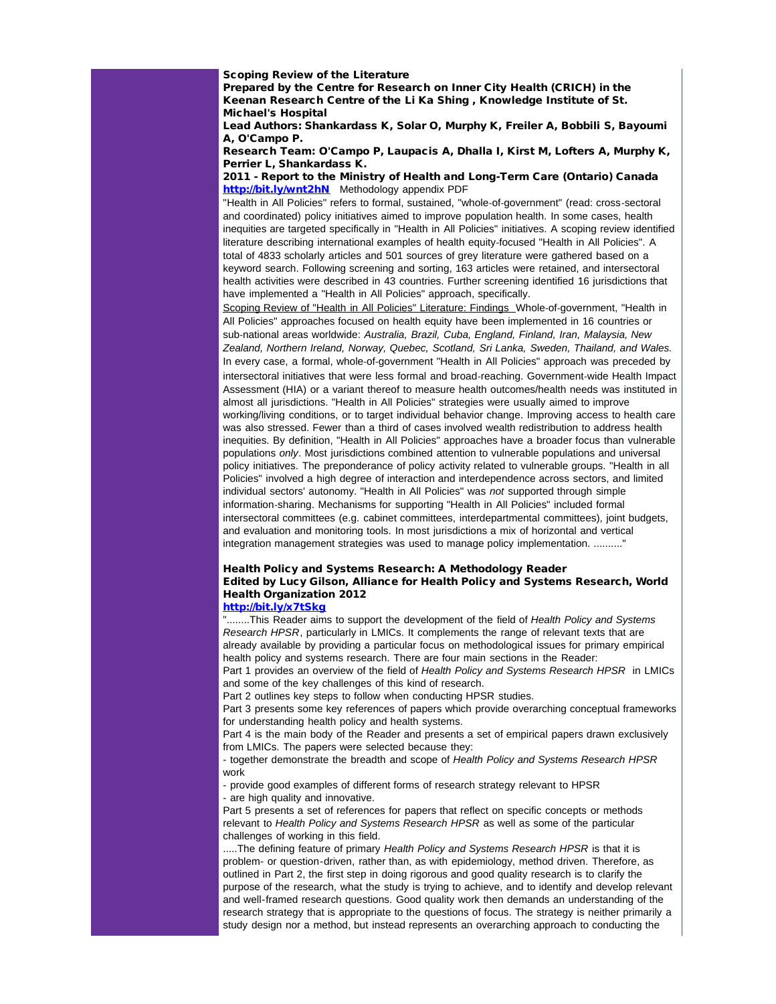### Scoping Review of the Literature

Prepared by the Centre for Research on Inner City Health (CRICH) in the Keenan Research Centre of the Li Ka Shing , Knowledge Institute of St. Michael's Hospital

Lead Authors: Shankardass K, Solar O, Murphy K, Freiler A, Bobbili S, Bayoumi A, O'Campo P.

Research Team: O'Campo P, Laupacis A, Dhalla I, Kirst M, Lofters A, Murphy K, Perrier L, Shankardass K.

### 2011 - Report to the Ministry of Health and Long-Term Care (Ontario) Canada [http://bit.ly/wnt2hN](http://r20.rs6.net/tn.jsp?et=1109480927004&s=1&e=0012OgI-WeFo4utCvgmSMYMDnPJj6zRaIfkbucafLZul8SW5cqnv1Y8SZAMB--SlZYy7XACfU_uyKYgdeNLd98ZYSih35reIw7fHk9Q34_-CwE=) Methodology appendix PDF

"Health in All Policies" refers to formal, sustained, "whole-of-government" (read: cross-sectoral and coordinated) policy initiatives aimed to improve population health. In some cases, health inequities are targeted specifically in "Health in All Policies" initiatives. A scoping review identified literature describing international examples of health equity-focused "Health in All Policies". A total of 4833 scholarly articles and 501 sources of grey literature were gathered based on a keyword search. Following screening and sorting, 163 articles were retained, and intersectoral health activities were described in 43 countries. Further screening identified 16 jurisdictions that have implemented a "Health in All Policies" approach, specifically.

Scoping Review of "Health in All Policies" Literature: Findings Whole-of-government, "Health in All Policies" approaches focused on health equity have been implemented in 16 countries or sub-national areas worldwide: *Australia, Brazil, Cuba, England, Finland, Iran, Malaysia, New Zealand, Northern Ireland, Norway, Quebec, Scotland, Sri Lanka, Sweden, Thailand, and Wales.* In every case, a formal, whole-of-government "Health in All Policies" approach was preceded by intersectoral initiatives that were less formal and broad-reaching. Government-wide Health Impact Assessment (HIA) or a variant thereof to measure health outcomes/health needs was instituted in almost all jurisdictions. "Health in All Policies" strategies were usually aimed to improve working/living conditions, or to target individual behavior change. Improving access to health care was also stressed. Fewer than a third of cases involved wealth redistribution to address health inequities. By definition, "Health in All Policies" approaches have a broader focus than vulnerable populations *only*. Most jurisdictions combined attention to vulnerable populations and universal policy initiatives. The preponderance of policy activity related to vulnerable groups. "Health in all Policies" involved a high degree of interaction and interdependence across sectors, and limited individual sectors' autonomy. "Health in All Policies" was *not* supported through simple information-sharing. Mechanisms for supporting "Health in All Policies" included formal intersectoral committees (e.g. cabinet committees, interdepartmental committees), joint budgets, and evaluation and monitoring tools. In most jurisdictions a mix of horizontal and vertical integration management strategies was used to manage policy implementation. .........."

# Health Policy and Systems Research: A Methodology Reader Edited by Lucy Gilson, Alliance for Health Policy and Systems Research, World Health Organization 2012

## [http://bit.ly/x7tSkg](http://r20.rs6.net/tn.jsp?et=1109480927004&s=1&e=0012OgI-WeFo4txjcfScx4xwsw_vN7f4EhtkOwql4hGBj2HwxkUhD_68EWUQsLLc9ldPDi4wFCjNpcNUcxp7FLzmvq0DdCqzV58gGey5PYst9Y=)

"........This Reader aims to support the development of the field of *Health Policy and Systems Research HPSR*, particularly in LMICs. It complements the range of relevant texts that are already available by providing a particular focus on methodological issues for primary empirical health policy and systems research. There are four main sections in the Reader: Part 1 provides an overview of the field of *Health Policy and Systems Research HPSR* in LMICs

and some of the key challenges of this kind of research.

Part 2 outlines key steps to follow when conducting HPSR studies.

Part 3 presents some key references of papers which provide overarching conceptual frameworks for understanding health policy and health systems.

Part 4 is the main body of the Reader and presents a set of empirical papers drawn exclusively from LMICs. The papers were selected because they:

- together demonstrate the breadth and scope of *Health Policy and Systems Research HPSR* work

- provide good examples of different forms of research strategy relevant to HPSR - are high quality and innovative.

Part 5 presents a set of references for papers that reflect on specific concepts or methods relevant to *Health Policy and Systems Research HPSR* as well as some of the particular challenges of working in this field.

.....The defining feature of primary *Health Policy and Systems Research HPSR* is that it is problem- or question-driven, rather than, as with epidemiology, method driven. Therefore, as outlined in Part 2, the first step in doing rigorous and good quality research is to clarify the purpose of the research, what the study is trying to achieve, and to identify and develop relevant and well-framed research questions. Good quality work then demands an understanding of the research strategy that is appropriate to the questions of focus. The strategy is neither primarily a study design nor a method, but instead represents an overarching approach to conducting the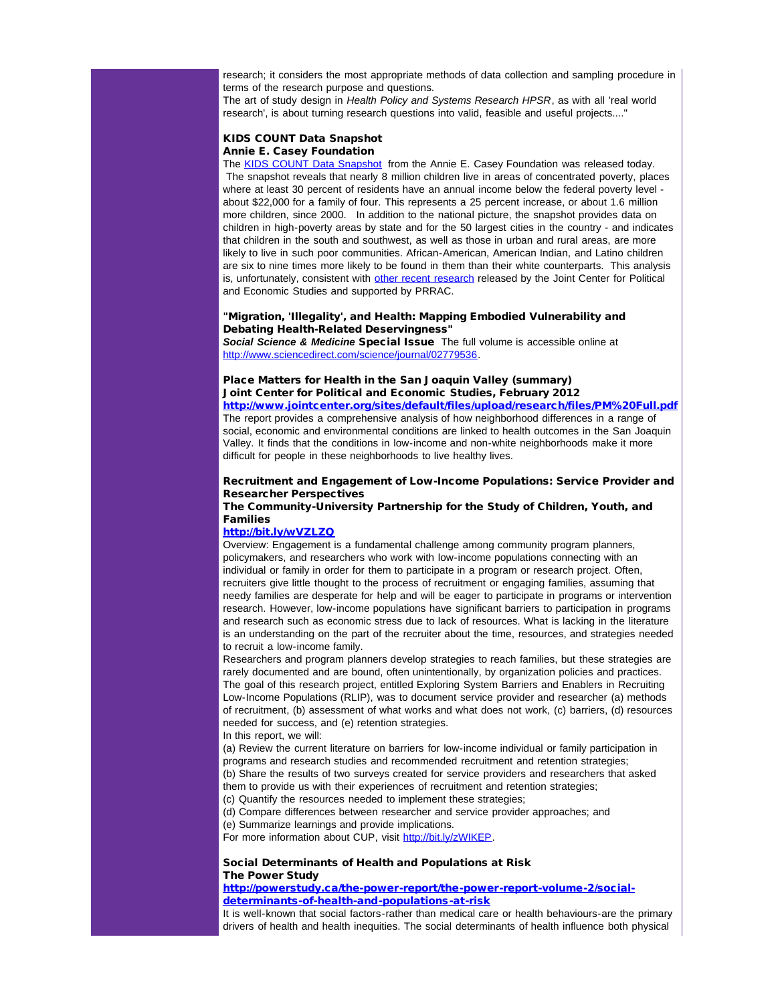research; it considers the most appropriate methods of data collection and sampling procedure in terms of the research purpose and questions.

The art of study design in *Health Policy and Systems Research HPSR*, as with all 'real world research', is about turning research questions into valid, feasible and useful projects...."

## KIDS COUNT Data Snapshot Annie E. Casey Foundation

The [KIDS COUNT Data Snapshot](http://r20.rs6.net/tn.jsp?et=1109363737920&s=988&e=0018pOhLEBXykhHnXN-g0_ZznNVGuPL_SFH3945LDGfIJ3MQiWEA8NZ89T72GUaoMCoYw1KfOS8GbE56LctDk3B3HqE_y3kbNu8c8nKhCzNK4OJExDiPsFbvuEmbatsPb5E30jVNLZdDdeydqWEv31Pkst86sgOlcePH4kiWI2HXVhCgCDVQfypSbmnvd37z0sV0dU1ufAfwvrV7689X8PLP7Iv5X7u3XAOQ0cEzd6KaeQ=) from the Annie E. Casey Foundation was released today. The snapshot reveals that nearly 8 million children live in areas of concentrated poverty, places where at least 30 percent of residents have an annual income below the federal poverty level about \$22,000 for a family of four. This represents a 25 percent increase, or about 1.6 million more children, since 2000. In addition to the national picture, the snapshot provides data on children in high-poverty areas by state and for the 50 largest cities in the country - and indicates that children in the south and southwest, as well as those in urban and rural areas, are more likely to live in such poor communities. African-American, American Indian, and Latino children are six to nine times more likely to be found in them than their white counterparts. This analysis is, unfortunately, consistent with [other recent research](http://r20.rs6.net/tn.jsp?et=1109363737920&s=988&e=0018pOhLEBXykimkvffo51sKHTe1kl3jQtBTM8o7MBBu-aFkEsRhDHdwY5hj61VmtuIrT6Kjn28i4b8B_7KnwBG1tCYwgmyT--RVqhq-x9M-5Dzek4jeUhiM8IoRJOpt-G-Wsfkunl3YpYa_DeIa9DzCNCKLzIwcxDtCPiuKSUG4CBxLNwOX0UKIThmLz9cg9_kS_k9XRsND3sFeOlFr0Y4CfFgIZ_zPNK3) released by the Joint Center for Political and Economic Studies and supported by PRRAC.

### "Migration, 'Illegality', and Health: Mapping Embodied Vulnerability and Debating Health-Related Deservingness"

*Social Science & Medicine* Special Issue The full volume is accessible online at [http://www.sciencedirect.com/science/journal/02779536](http://r20.rs6.net/tn.jsp?t=7y8odjjab.0.4lvydjjab.5gytkqcab.1&ts=S0741&p=http%3A%2F%2Fwww.sciencedirect.com%2Fscience%2Fjournal%2F02779536).

### Place Matters for Health in the San Joaquin Valley (summary) Joint Center for Political and Economic Studies, February 2012 [http://www.jointcenter.org/sites/default/files/upload/research/files/PM%20Full.pdf](http://r20.rs6.net/tn.jsp?t=7y8odjjab.0.amvydjjab.5gytkqcab.1&ts=S0741&p=http%3A%2F%2Fwww.jointcenter.org%2Fsites%2Fdefault%2Ffiles%2Fupload%2Fresearch%2Ffiles%2FPM%2520Full.pdf)

The report provides a comprehensive analysis of how neighborhood differences in a range of social, economic and environmental conditions are linked to health outcomes in the San Joaquin Valley. It finds that the conditions in low-income and non-white neighborhoods make it more difficult for people in these neighborhoods to live healthy lives.

## Recruitment and Engagement of Low-Income Populations: Service Provider and Researcher Perspectives

## The Community-University Partnership for the Study of Children, Youth, and Families

#### [http://bit.ly/wVZLZQ](http://r20.rs6.net/tn.jsp?t=7y8odjjab.0.bmvydjjab.5gytkqcab.1&ts=S0741&p=http%3A%2F%2Fbit.ly%2FwVZLZQ)

Overview: Engagement is a fundamental challenge among community program planners, policymakers, and researchers who work with low-income populations connecting with an individual or family in order for them to participate in a program or research project. Often, recruiters give little thought to the process of recruitment or engaging families, assuming that needy families are desperate for help and will be eager to participate in programs or intervention research. However, low-income populations have significant barriers to participation in programs and research such as economic stress due to lack of resources. What is lacking in the literature is an understanding on the part of the recruiter about the time, resources, and strategies needed to recruit a low-income family.

Researchers and program planners develop strategies to reach families, but these strategies are rarely documented and are bound, often unintentionally, by organization policies and practices. The goal of this research project, entitled Exploring System Barriers and Enablers in Recruiting Low-Income Populations (RLIP), was to document service provider and researcher (a) methods of recruitment, (b) assessment of what works and what does not work, (c) barriers, (d) resources needed for success, and (e) retention strategies.

In this report, we will:

(a) Review the current literature on barriers for low-income individual or family participation in programs and research studies and recommended recruitment and retention strategies; (b) Share the results of two surveys created for service providers and researchers that asked them to provide us with their experiences of recruitment and retention strategies;

(c) Quantify the resources needed to implement these strategies;

(d) Compare differences between researcher and service provider approaches; and

(e) Summarize learnings and provide implications.

For more information about CUP, visit [http://bit.ly/zWIKEP](http://r20.rs6.net/tn.jsp?t=7y8odjjab.0.cmvydjjab.5gytkqcab.1&ts=S0741&p=http%3A%2F%2Fbit.ly%2FzWIKEP).

## Social Determinants of Health and Populations at Risk The Power Study

### [http://powerstudy.ca/the-power-report/the-power-report-volume-2/social](http://r20.rs6.net/tn.jsp?t=7y8odjjab.0.dmvydjjab.5gytkqcab.1&ts=S0741&p=http%3A%2F%2Fpowerstudy.ca%2Fthe-power-report%2Fthe-power-report-volume-2%2Fsocial-determinants-of-health-and-populations-at-risk)[determinants-of-health-and-populations-at-risk](http://r20.rs6.net/tn.jsp?t=7y8odjjab.0.dmvydjjab.5gytkqcab.1&ts=S0741&p=http%3A%2F%2Fpowerstudy.ca%2Fthe-power-report%2Fthe-power-report-volume-2%2Fsocial-determinants-of-health-and-populations-at-risk)

It is well-known that social factors-rather than medical care or health behaviours-are the primary drivers of health and health inequities. The social determinants of health influence both physical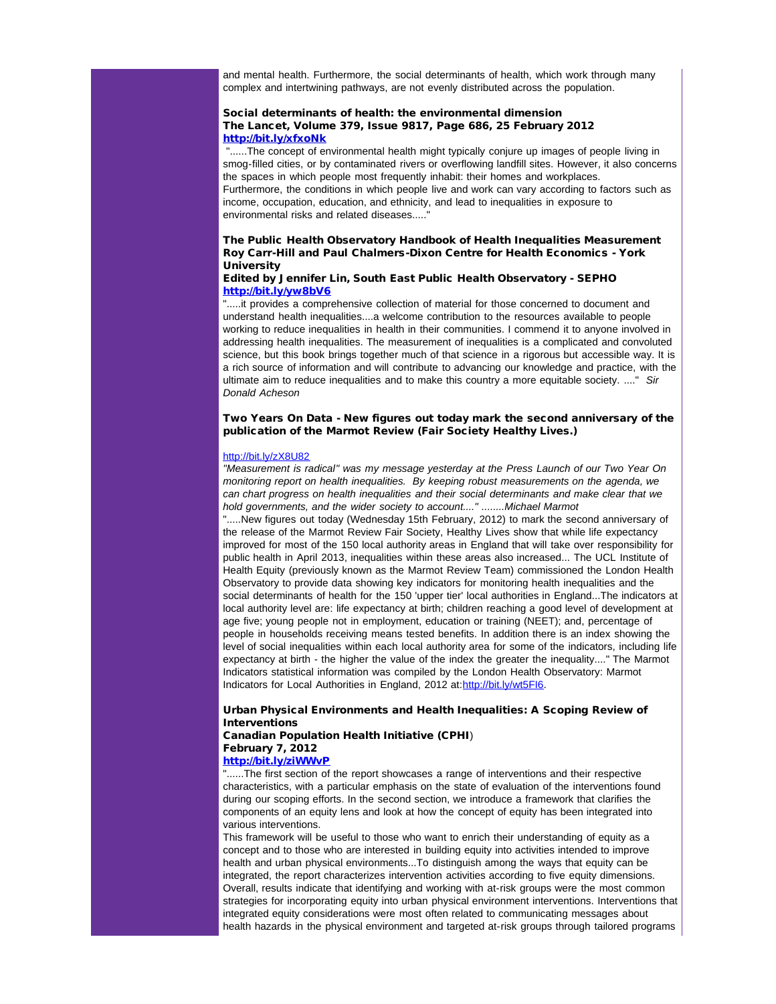and mental health. Furthermore, the social determinants of health, which work through many complex and intertwining pathways, are not evenly distributed across the population.

### Social determinants of health: the environmental dimension The Lancet, Volume 379, Issue 9817, Page 686, 25 February 2012 [http://bit.ly/xfxoNk](http://r20.rs6.net/tn.jsp?t=7y8odjjab.0.emvydjjab.5gytkqcab.1&ts=S0741&p=http%3A%2F%2Ft.co%2FDBavKxuZ)

"......The concept of environmental health might typically conjure up images of people living in smog-filled cities, or by contaminated rivers or overflowing landfill sites. However, it also concerns the spaces in which people most frequently inhabit: their homes and workplaces. Furthermore, the conditions in which people live and work can vary according to factors such as income, occupation, education, and ethnicity, and lead to inequalities in exposure to environmental risks and related diseases....."

## The Public Health Observatory Handbook of Health Inequalities Measurement Roy Carr-Hill and Paul Chalmers-Dixon Centre for Health Economics - York **University**

## Edited by Jennifer Lin, South East Public Health Observatory - SEPHO [http://bit.ly/yw8bV6](http://r20.rs6.net/tn.jsp?t=7y8odjjab.0.fmvydjjab.5gytkqcab.1&ts=S0741&p=http%3A%2F%2Fbit.ly%2Fyw8bV6)

".....it provides a comprehensive collection of material for those concerned to document and understand health inequalities....a welcome contribution to the resources available to people working to reduce inequalities in health in their communities. I commend it to anyone involved in addressing health inequalities. The measurement of inequalities is a complicated and convoluted science, but this book brings together much of that science in a rigorous but accessible way. It is a rich source of information and will contribute to advancing our knowledge and practice, with the ultimate aim to reduce inequalities and to make this country a more equitable society. ...." *Sir Donald Acheson*

## Two Years On Data - New figures out today mark the second anniversary of the publication of the Marmot Review (Fair Society Healthy Lives.)

#### [http://bit.ly/zX8U82](http://r20.rs6.net/tn.jsp?t=7y8odjjab.0.gmvydjjab.5gytkqcab.1&ts=S0741&p=http%3A%2F%2Fbit.ly%2FzX8U82)

*"Measurement is radical" was my message yesterday at the Press Launch of our Two Year On monitoring report on health inequalities. By keeping robust measurements on the agenda, we can chart progress on health inequalities and their social determinants and make clear that we hold governments, and the wider society to account...." ........Michael Marmot*

".....New figures out today (Wednesday 15th February, 2012) to mark the second anniversary of the release of the Marmot Review Fair Society, Healthy Lives show that while life expectancy improved for most of the 150 local authority areas in England that will take over responsibility for public health in April 2013, inequalities within these areas also increased... The UCL Institute of Health Equity (previously known as the Marmot Review Team) commissioned the London Health Observatory to provide data showing key indicators for monitoring health inequalities and the social determinants of health for the 150 'upper tier' local authorities in England...The indicators at local authority level are: life expectancy at birth; children reaching a good level of development at age five; young people not in employment, education or training (NEET); and, percentage of people in households receiving means tested benefits. In addition there is an index showing the level of social inequalities within each local authority area for some of the indicators, including life expectancy at birth - the higher the value of the index the greater the inequality...." The Marmot Indicators statistical information was compiled by the London Health Observatory: Marmot Indicators for Local Authorities in England, 2012 at: [http://bit.ly/wt5FI6](http://r20.rs6.net/tn.jsp?t=7y8odjjab.0.hmvydjjab.5gytkqcab.1&ts=S0741&p=http%3A%2F%2Fbit.ly%2Fwt5FI6).

## Urban Physical Environments and Health Inequalities: A Scoping Review of Interventions

#### Canadian Population Health Initiative (CPHI) February 7, 2012 [http://bit.ly/ziWWvP](http://r20.rs6.net/tn.jsp?t=7y8odjjab.0.imvydjjab.5gytkqcab.1&ts=S0741&p=http%3A%2F%2Fbit.ly%2FziWWvP)

"......The first section of the report showcases a range of interventions and their respective characteristics, with a particular emphasis on the state of evaluation of the interventions found during our scoping efforts. In the second section, we introduce a framework that clarifies the components of an equity lens and look at how the concept of equity has been integrated into various interventions.

This framework will be useful to those who want to enrich their understanding of equity as a concept and to those who are interested in building equity into activities intended to improve health and urban physical environments...To distinguish among the ways that equity can be integrated, the report characterizes intervention activities according to five equity dimensions. Overall, results indicate that identifying and working with at-risk groups were the most common strategies for incorporating equity into urban physical environment interventions. Interventions that integrated equity considerations were most often related to communicating messages about health hazards in the physical environment and targeted at-risk groups through tailored programs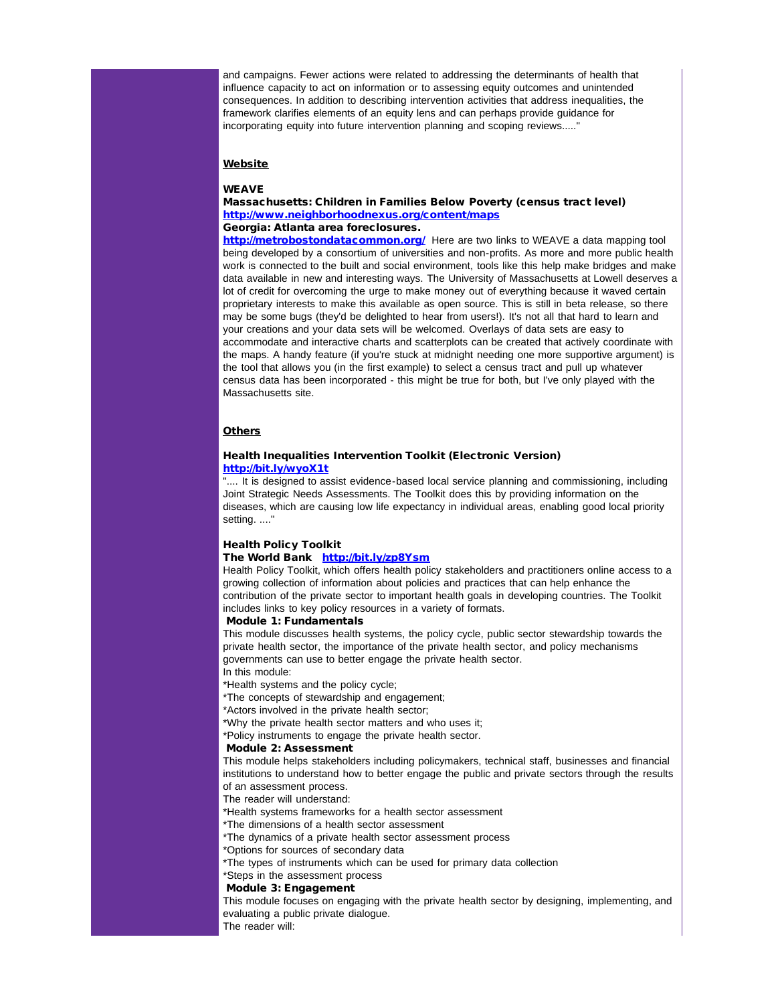and campaigns. Fewer actions were related to addressing the determinants of health that influence capacity to act on information or to assessing equity outcomes and unintended consequences. In addition to describing intervention activities that address inequalities, the framework clarifies elements of an equity lens and can perhaps provide guidance for incorporating equity into future intervention planning and scoping reviews....."

#### **Website**

#### **WEAVE**

### Massachusetts: Children in Families Below Poverty (census tract level) [http://www.neighborhoodnexus.org/content/maps](http://r20.rs6.net/tn.jsp?t=7y8odjjab.0.jmvydjjab.5gytkqcab.1&ts=S0741&p=http%3A%2F%2Fwww.neighborhoodnexus.org%2Fcontent%2Fmaps) Georgia: Atlanta area foreclosures.

[http://metrobostondatacommon.org/](http://r20.rs6.net/tn.jsp?t=7y8odjjab.0.kmvydjjab.5gytkqcab.1&ts=S0741&p=http%3A%2F%2Fmetrobostondatacommon.org%2F) Here are two links to WEAVE a data mapping tool being developed by a consortium of universities and non-profits. As more and more public health work is connected to the built and social environment, tools like this help make bridges and make data available in new and interesting ways. The University of Massachusetts at Lowell deserves a lot of credit for overcoming the urge to make money out of everything because it waved certain proprietary interests to make this available as open source. This is still in beta release, so there may be some bugs (they'd be delighted to hear from users!). It's not all that hard to learn and your creations and your data sets will be welcomed. Overlays of data sets are easy to accommodate and interactive charts and scatterplots can be created that actively coordinate with the maps. A handy feature (if you're stuck at midnight needing one more supportive argument) is the tool that allows you (in the first example) to select a census tract and pull up whatever census data has been incorporated - this might be true for both, but I've only played with the Massachusetts site.

#### **Others**

### Health Inequalities Intervention Toolkit (Electronic Version) [http://bit.ly/wyoX1t](http://r20.rs6.net/tn.jsp?t=7y8odjjab.0.lmvydjjab.5gytkqcab.1&ts=S0741&p=http%3A%2F%2Fbit.ly%2FwyoX1t)

.... It is designed to assist evidence-based local service planning and commissioning, including Joint Strategic Needs Assessments. The Toolkit does this by providing information on the diseases, which are causing low life expectancy in individual areas, enabling good local priority setting. ...."

### Health Policy Toolkit

## The World Bank [http://bit.ly/zp8Ysm](http://r20.rs6.net/tn.jsp?t=7y8odjjab.0.mmvydjjab.5gytkqcab.1&ts=S0741&p=http%3A%2F%2Fbit.ly%2Fzp8Ysm)

Health Policy Toolkit, which offers health policy stakeholders and practitioners online access to a growing collection of information about policies and practices that can help enhance the contribution of the private sector to important health goals in developing countries. The Toolkit includes links to key policy resources in a variety of formats.

## Module 1: Fundamentals

This module discusses health systems, the policy cycle, public sector stewardship towards the private health sector, the importance of the private health sector, and policy mechanisms governments can use to better engage the private health sector.

In this module:

\*Health systems and the policy cycle;

\*The concepts of stewardship and engagement;

\*Actors involved in the private health sector;

\*Why the private health sector matters and who uses it;

## \*Policy instruments to engage the private health sector.

## Module 2: Assessment

This module helps stakeholders including policymakers, technical staff, businesses and financial institutions to understand how to better engage the public and private sectors through the results of an assessment process.

The reader will understand:

- \*Health systems frameworks for a health sector assessment
- \*The dimensions of a health sector assessment
- \*The dynamics of a private health sector assessment process
- \*Options for sources of secondary data
- \*The types of instruments which can be used for primary data collection
- \*Steps in the assessment process

## Module 3: Engagement

This module focuses on engaging with the private health sector by designing, implementing, and evaluating a public private dialogue.

The reader will: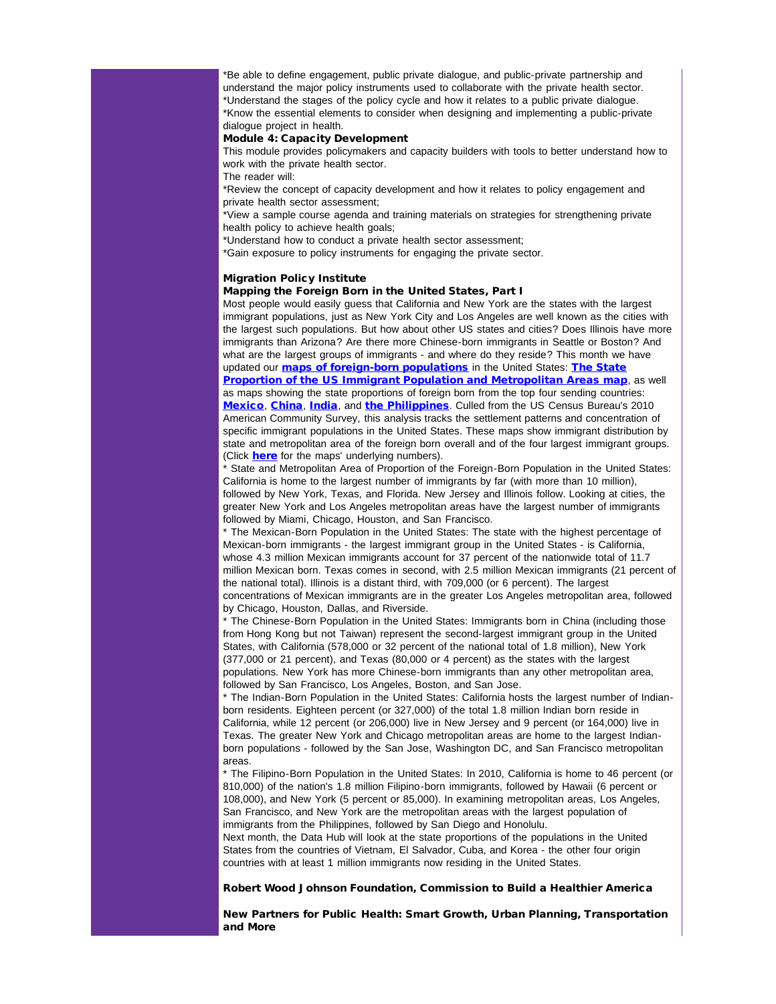\*Be able to define engagement, public private dialogue, and public-private partnership and understand the major policy instruments used to collaborate with the private health sector. \*Understand the stages of the policy cycle and how it relates to a public private dialogue. \*Know the essential elements to consider when designing and implementing a public-private dialogue project in health.

## Module 4: Capacity Development

This module provides policymakers and capacity builders with tools to better understand how to work with the private health sector.

The reader will:

\*Review the concept of capacity development and how it relates to policy engagement and private health sector assessment;

\*View a sample course agenda and training materials on strategies for strengthening private health policy to achieve health goals;

\*Understand how to conduct a private health sector assessment;

\*Gain exposure to policy instruments for engaging the private sector.

## Migration Policy Institute

## Mapping the Foreign Born in the United States, Part I

Most people would easily guess that California and New York are the states with the largest immigrant populations, just as New York City and Los Angeles are well known as the cities with the largest such populations. But how about other US states and cities? Does Illinois have more immigrants than Arizona? Are there more Chinese-born immigrants in Seattle or Boston? And what are the largest groups of immigrants - and where do they reside? This month we have updated our **[maps of foreign-born populations](http://r20.rs6.net/tn.jsp?t=7y8odjjab.0.nmvydjjab.5gytkqcab.1&ts=S0741&p=http%3A%2F%2Fmy.migrationpolicy.org%2Fsalsa%2Ftrack.jsp%3Fv%3D2%26c%3D2hiF%252Fu6PWH8JnBxNy7BAJVPUXNIK9Sfu)** in the United States: **[The State](http://r20.rs6.net/tn.jsp?t=7y8odjjab.0.omvydjjab.5gytkqcab.1&ts=S0741&p=http%3A%2F%2Fmy.migrationpolicy.org%2Fsalsa%2Ftrack.jsp%3Fv%3D2%26c%3DZDn4WNIobqobZMtnCPZ5yVPUXNIK9Sfu) [Proportion of the US Immigrant Population and Metropolitan Areas map](http://r20.rs6.net/tn.jsp?t=7y8odjjab.0.omvydjjab.5gytkqcab.1&ts=S0741&p=http%3A%2F%2Fmy.migrationpolicy.org%2Fsalsa%2Ftrack.jsp%3Fv%3D2%26c%3DZDn4WNIobqobZMtnCPZ5yVPUXNIK9Sfu), as well** as maps showing the state proportions of foreign born from the top four sending countries: [Mexico](http://r20.rs6.net/tn.jsp?t=7y8odjjab.0.pmvydjjab.5gytkqcab.1&ts=S0741&p=http%3A%2F%2Fmy.migrationpolicy.org%2Fsalsa%2Ftrack.jsp%3Fv%3D2%26c%3DESOwHIUpx%252FvINHzVxdKyFFPUXNIK9Sfu), [China](http://r20.rs6.net/tn.jsp?t=7y8odjjab.0.qmvydjjab.5gytkqcab.1&ts=S0741&p=http%3A%2F%2Fmy.migrationpolicy.org%2Fsalsa%2Ftrack.jsp%3Fv%3D2%26c%3Dg5Hy%252FzTF%252B0WmzWbvaGITQVPUXNIK9Sfu), [India](http://r20.rs6.net/tn.jsp?t=7y8odjjab.0.rmvydjjab.5gytkqcab.1&ts=S0741&p=http%3A%2F%2Fmy.migrationpolicy.org%2Fsalsa%2Ftrack.jsp%3Fv%3D2%26c%3DNdlSLbcOZxqk7i8OAJGA8lPUXNIK9Sfu), and [the Philippines](http://r20.rs6.net/tn.jsp?t=7y8odjjab.0.smvydjjab.5gytkqcab.1&ts=S0741&p=http%3A%2F%2Fmy.migrationpolicy.org%2Fsalsa%2Ftrack.jsp%3Fv%3D2%26c%3DMByczGw%252Fua%252BM%252FcsHIabaCVPUXNIK9Sfu). Culled from the US Census Bureau's 2010 American Community Survey, this analysis tracks the settlement patterns and concentration of specific immigrant populations in the United States. These maps show immigrant distribution by state and metropolitan area of the foreign born overall and of the four largest immigrant groups. (Click **[here](http://r20.rs6.net/tn.jsp?t=7y8odjjab.0.tmvydjjab.5gytkqcab.1&ts=S0741&p=http%3A%2F%2Fmy.migrationpolicy.org%2Fsalsa%2Ftrack.jsp%3Fv%3D2%26c%3DGJn6mmYVIvj1hx8tPG8byFPUXNIK9Sfu)** for the maps' underlying numbers).

State and Metropolitan Area of Proportion of the Foreign-Born Population in the United States: California is home to the largest number of immigrants by far (with more than 10 million), followed by New York, Texas, and Florida. New Jersey and Illinois follow. Looking at cities, the greater New York and Los Angeles metropolitan areas have the largest number of immigrants followed by Miami, Chicago, Houston, and San Francisco.

\* The Mexican-Born Population in the United States: The state with the highest percentage of Mexican-born immigrants - the largest immigrant group in the United States - is California, whose 4.3 million Mexican immigrants account for 37 percent of the nationwide total of 11.7 million Mexican born. Texas comes in second, with 2.5 million Mexican immigrants (21 percent of the national total). Illinois is a distant third, with 709,000 (or 6 percent). The largest concentrations of Mexican immigrants are in the greater Los Angeles metropolitan area, followed by Chicago, Houston, Dallas, and Riverside.

\* The Chinese-Born Population in the United States: Immigrants born in China (including those from Hong Kong but not Taiwan) represent the second-largest immigrant group in the United States, with California (578,000 or 32 percent of the national total of 1.8 million), New York (377,000 or 21 percent), and Texas (80,000 or 4 percent) as the states with the largest populations. New York has more Chinese-born immigrants than any other metropolitan area, followed by San Francisco, Los Angeles, Boston, and San Jose.

\* The Indian-Born Population in the United States: California hosts the largest number of Indianborn residents. Eighteen percent (or 327,000) of the total 1.8 million Indian born reside in California, while 12 percent (or 206,000) live in New Jersey and 9 percent (or 164,000) live in Texas. The greater New York and Chicago metropolitan areas are home to the largest Indianborn populations - followed by the San Jose, Washington DC, and San Francisco metropolitan areas.

\* The Filipino-Born Population in the United States: In 2010, California is home to 46 percent (or 810,000) of the nation's 1.8 million Filipino-born immigrants, followed by Hawaii (6 percent or 108,000), and New York (5 percent or 85,000). In examining metropolitan areas, Los Angeles, San Francisco, and New York are the metropolitan areas with the largest population of immigrants from the Philippines, followed by San Diego and Honolulu.

Next month, the Data Hub will look at the state proportions of the populations in the United States from the countries of Vietnam, El Salvador, Cuba, and Korea - the other four origin countries with at least 1 million immigrants now residing in the United States.

#### Robert Wood Johnson Foundation, Commission to Build a Healthier America

New Partners for Public Health: Smart Growth, Urban Planning, Transportation and More